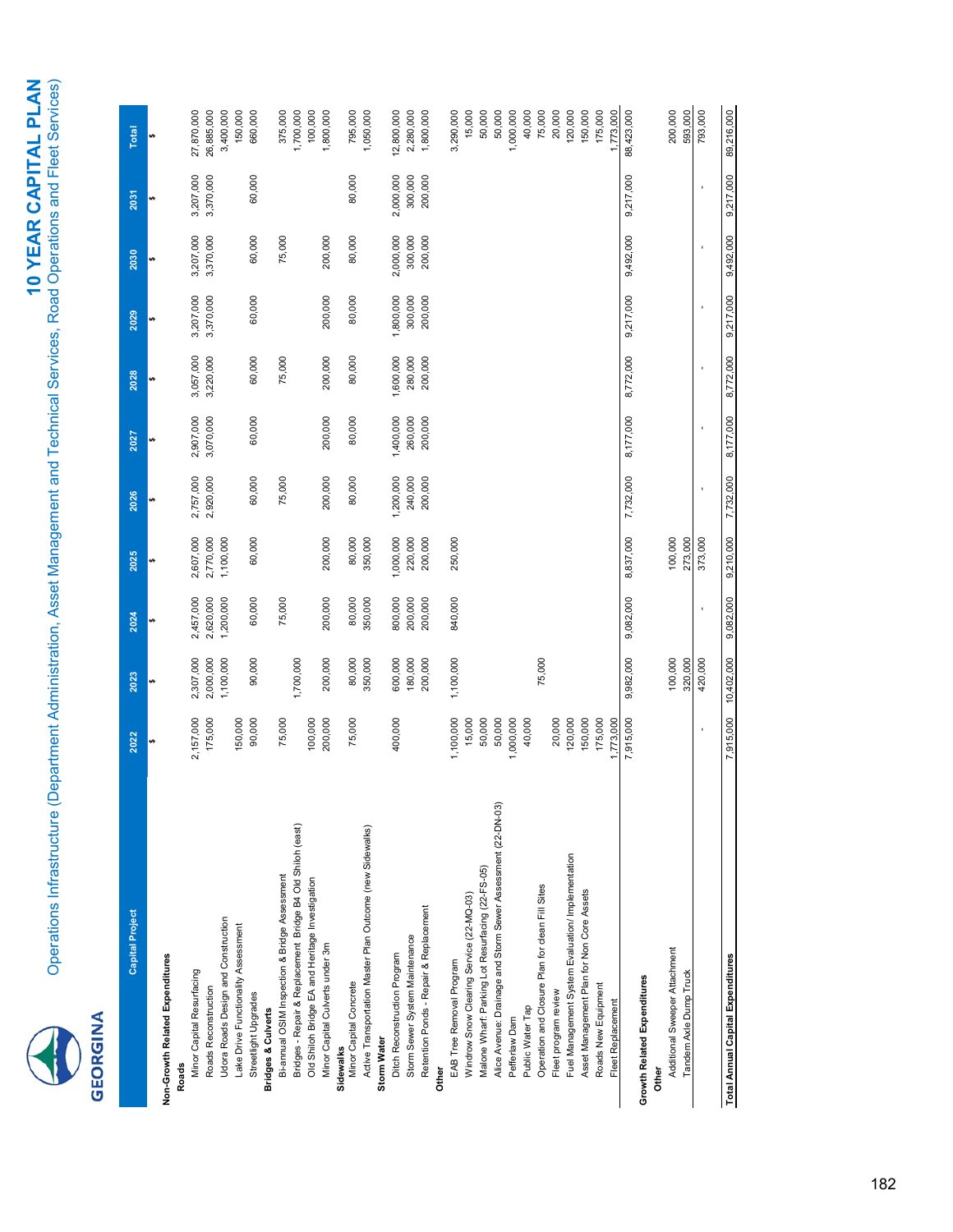### **GEORGINA** 0

| Capital Project                                             | 2022      | 2023      | 2024      | 2025      | 2026      | 2027      | 2028      | 2029      | 2030      | 2031      | <b>Total</b> |
|-------------------------------------------------------------|-----------|-----------|-----------|-----------|-----------|-----------|-----------|-----------|-----------|-----------|--------------|
|                                                             |           |           |           |           |           |           |           |           |           |           |              |
| Non-Growth Related Expenditures                             |           |           |           |           |           |           |           |           |           |           |              |
| Roads                                                       |           |           |           |           |           |           |           |           |           |           |              |
| Minor Capital Resurfacing                                   | 2,157,000 | 2,307,000 | 2,457,000 | 2,607,000 | 2,757,000 | 2,907,000 | 3,057,000 | 3,207,000 | 3,207,000 | 3,207,000 | 27,870,000   |
| Roads Reconstruction                                        | 175,000   | 2,000,000 | 2,620,000 | 2,770,000 | 2,920,000 | 3,070,000 | 3,220,000 | 3,370,000 | 3,370,000 | 3,370,000 | 26,885,000   |
| Udora Roads Design and Construction                         |           | 1,100,000 | 1,200,000 | 1,100,000 |           |           |           |           |           |           | 3,400,000    |
| Lake Drive Functionality Assessment                         | 150,000   |           |           |           |           |           |           |           |           |           | 150,000      |
| Streetlight Upgrades                                        | 90,000    | 90,000    | 60,000    | 60,000    | 60,000    | 60,000    | 60,000    | 60,000    | 60,000    | 60,000    | 660,000      |
| <b>Bridges &amp; Culverts</b>                               |           |           |           |           |           |           |           |           |           |           |              |
| Bi-annual OSIM Inspection & Bridge Assessment               | 75,000    |           | 75,000    |           | 75,000    |           | 75,000    |           | 75,000    |           | 375,000      |
| Bridges - Repair & Replacement Bridge B4 Old Shiloh (east)  |           | 1,700,000 |           |           |           |           |           |           |           |           | 1,700,000    |
| Old Shiloh Bridge EA and Heritage Investigation             | 100,000   |           |           |           |           |           |           |           |           |           | 100,000      |
| Minor Capital Culverts under 3m                             | 200,000   | 200,000   | 200,000   | 200,000   | 200,000   | 200,000   | 200,000   | 200,000   | 200,000   |           | 1,800,000    |
| Sidewalks                                                   |           |           |           |           |           |           |           |           |           |           |              |
| Minor Capital Concrete                                      | 75,000    | 80,000    | 80,000    | 80,000    | 80,000    | 80,000    | 80,000    | 80,000    | 80,000    | 80,000    | 795,000      |
| Active Transportation Master Plan Outcome (new Sidewalks)   |           | 350,000   | 350,000   | 350,000   |           |           |           |           |           |           | 1,050,000    |
| <b>Storm Water</b>                                          |           |           |           |           |           |           |           |           |           |           |              |
| Ditch Reconstruction Program                                | 400,000   | 600,000   | 800,000   | 1,000,000 | 1,200,000 | 1,400,000 | 1,600,000 | 1,800,000 | 2,000,000 | 2,000,000 | 12,800,000   |
| Storm Sewer System Maintenance                              |           | 180,000   | 200,000   | 220,000   | 240,000   | 260,000   | 280,000   | 300,000   | 300,000   | 300,000   | 2,280,000    |
| Retention Ponds - Repair & Replacement                      |           | 200,000   | 200,000   | 200,000   | 200,000   | 200,000   | 200,000   | 200,000   | 200,000   | 200,000   | 1,800,000    |
| <b>Other</b>                                                |           |           |           |           |           |           |           |           |           |           |              |
| EAB Tree Removal Program                                    | 1,100,000 | 1,100,000 | 840,000   | 250,000   |           |           |           |           |           |           | 3,290,000    |
| Windrow Snow Clearing Service (22-MQ-03)                    | 15,000    |           |           |           |           |           |           |           |           |           | 15,000       |
| Malone Wharf: Parking Lot Resurfacing (22-FS-05)            | 50,000    |           |           |           |           |           |           |           |           |           | 50,000       |
| Alice Avenue: Drainage and Storm Sewer Assessment (22-DN-03 | 50,000    |           |           |           |           |           |           |           |           |           | 50,000       |
| Pefferlaw Dam                                               | 1,000,000 |           |           |           |           |           |           |           |           |           | 1,000,000    |
| Public Water Tap                                            | 40,000    |           |           |           |           |           |           |           |           |           | 40,000       |
| Operation and Closure Plan for clean Fill Sites             |           | 75,000    |           |           |           |           |           |           |           |           | 75,000       |
| Fleet program review                                        | 20,000    |           |           |           |           |           |           |           |           |           | 20,000       |
| Fuel Management System Evaluation/ Implementation           | 120,000   |           |           |           |           |           |           |           |           |           | 120,000      |
| Asset Management Plan for Non Core Assets                   | 150,000   |           |           |           |           |           |           |           |           |           | 150,000      |
| Roads New Equipment                                         | 175,000   |           |           |           |           |           |           |           |           |           | 175,000      |
| Fleet Replacement                                           | 1,773,000 |           |           |           |           |           |           |           |           |           | 1,773,000    |
|                                                             | 7,915,000 | 9,982,000 | 9,082,000 | 8,837,000 | 7,732,000 | 8,177,000 | 8,772,000 | 9,217,000 | 9,492,000 | 9,217,000 | 88,423,000   |
| <b>Growth Related Expenditures</b>                          |           |           |           |           |           |           |           |           |           |           |              |
| <b>Other</b>                                                |           |           |           |           |           |           |           |           |           |           |              |
| Additional Sweeper Attachment                               |           | 100,000   |           | 100,000   |           |           |           |           |           |           | 200,000      |
| Tandem Axle Dump Truck                                      |           | 320,000   |           | 273,000   |           |           |           |           |           |           | 593,000      |
|                                                             |           | 420,000   |           | 373,000   |           |           |           |           |           |           | 793,000      |

T**otal Annual Capital Expenditure** 59,717,000 9,92,000 9,000,000 9,200,000 9,200,000 9,210,000 9,210,000 9,210,000 9,210,000 9,210,000 9,210,000 9,217,000 9,217,000 9,217,000 9,217,000 9,217,000 9,217,000 9,217,000 9,217,0

Total Annual Capital Expenditures

89,216,000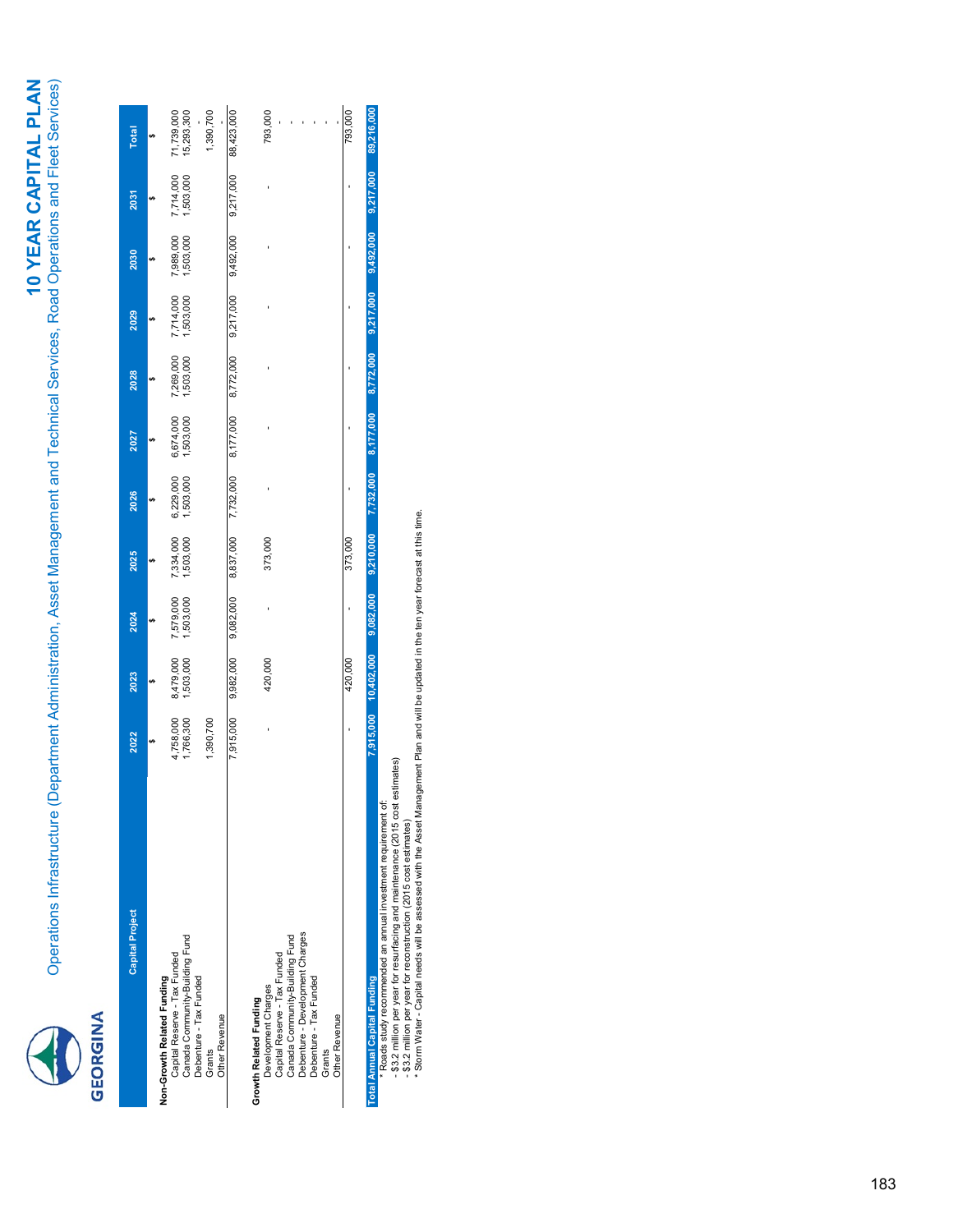# **EDREIMA**

| <b>Capital Project</b>              | 2022      | 2023                 | 2024      | 2025                | 2026      | 2027      | 2028      | 2029                   | 2030      | 2031                   | <b>Total</b> |
|-------------------------------------|-----------|----------------------|-----------|---------------------|-----------|-----------|-----------|------------------------|-----------|------------------------|--------------|
|                                     |           |                      |           |                     |           |           |           |                        |           |                        |              |
| Non-Growth Related Funding          |           |                      |           |                     |           |           |           |                        |           |                        |              |
| Capital Reserve - Tax Funded        | 4,758,000 | 8,479,000            | 7,579,000 | 7,334,000           | 6,229,000 | 6,674,000 | 7,269,000 |                        | 7,989,000 |                        | 71,739,000   |
| Canada Community-Building Fund      | 1,766,300 | 1,503,000            | ,503,000  | ,503,000            | ,503,000  | ,503,000  | ,503,000  | 7,714,000<br>1,503,000 | ,503,000  | 7,714,000<br>1,503,000 | 15,293,300   |
| Debenture - Tax Funded              |           |                      |           |                     |           |           |           |                        |           |                        |              |
| Grants                              | 1,390,700 |                      |           |                     |           |           |           |                        |           |                        | 1,390,700    |
| Other Revenue                       |           |                      |           |                     |           |           |           |                        |           |                        |              |
|                                     | 7,915,000 | 9,982,000            | 9,082,000 | 8,837,000 7,732,000 |           | 8,177,000 | 8,772,000 | 9,217,000              | 9,492,000 | 9,217,000              | 88,423,000   |
| Growth Related Funding              |           |                      |           |                     |           |           |           |                        |           |                        |              |
| Development Charges                 |           | 420,000              |           | 373,000             |           |           |           |                        |           |                        | 793,000      |
| Capital Reserve - Tax Funded        |           |                      |           |                     |           |           |           |                        |           |                        |              |
| Canada Community-Building Fund      |           |                      |           |                     |           |           |           |                        |           |                        |              |
| Debenture - Development Charges     |           |                      |           |                     |           |           |           |                        |           |                        |              |
| Debenture - Tax Funded              |           |                      |           |                     |           |           |           |                        |           |                        |              |
| Grants                              |           |                      |           |                     |           |           |           |                        |           |                        |              |
| Other Revenue                       |           |                      |           |                     |           |           |           |                        |           |                        |              |
|                                     |           | 420,000              |           | 373,000             |           |           |           |                        |           |                        | 793,000      |
| <b>Total Annual Capital Funding</b> |           | 7,915,000 10,402,000 | 9,082,000 | 9,210,000           | 7,732,000 | 8,177,000 | 8,772,000 | 9,217,000              | 9,492,000 | 9,217,000              | 89,216,000   |

\* Roads study recommended an annual investment requirement of:

- \$3.2 million per year for resurfacing and maintenance (2015 cost estimates)

- \$3.2 million per year for reconstruction (2015 cost estimates)

Total Annual Capital Funding<br>- Roads study recommended an annual investment requirement of:<br>- \$3.2 million per year for reconstructig and washtenent cause (2015 oost estimates)<br>- \$3.2 million per year for reconstructig and \* Storm Water - Capital needs will be assessed with the Asset Management Plan and will be updated in the ten year forecast at this time.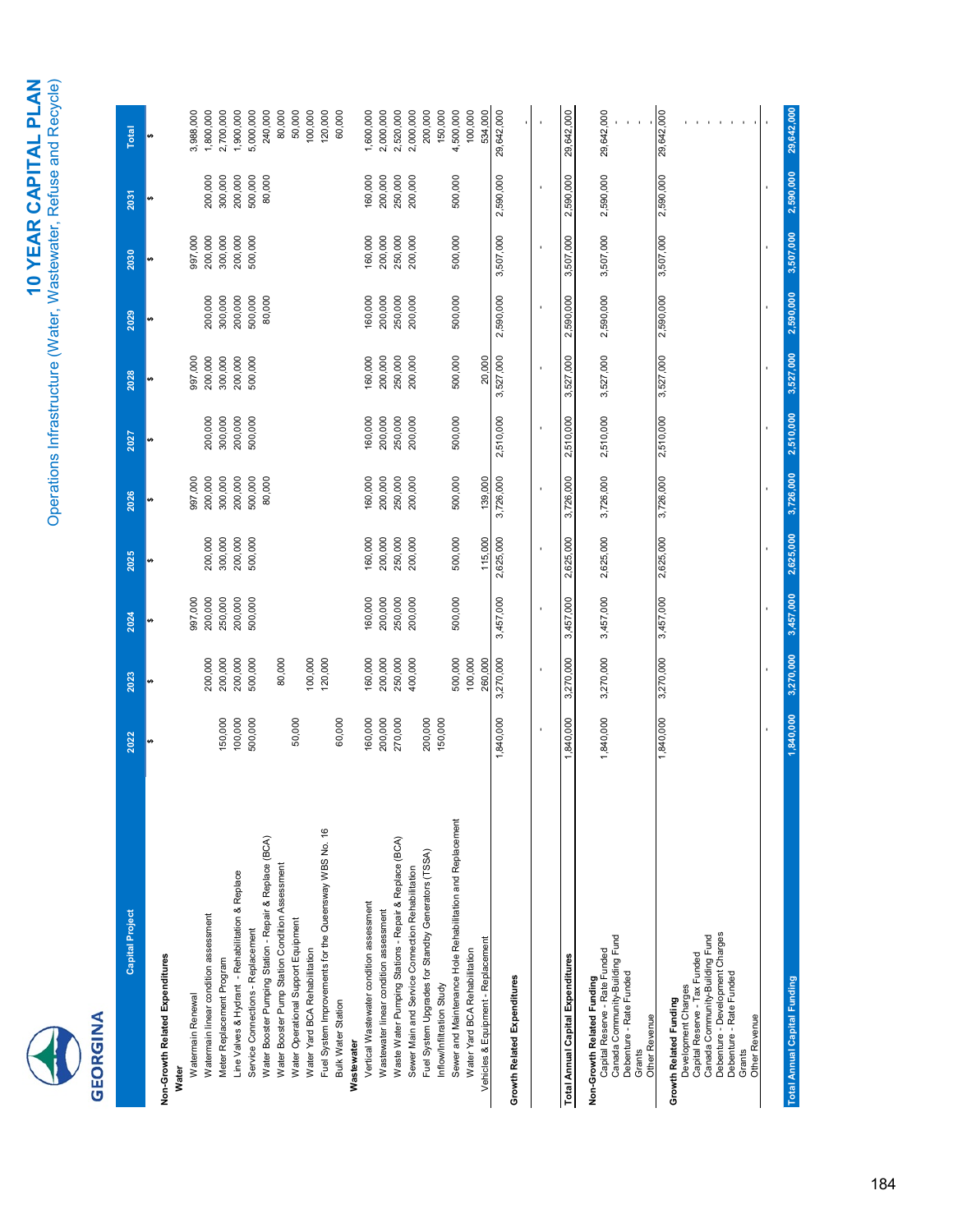| <b>Capital Project</b>                                                                                          | 2022               | 2023               | 2024               | 2025               | 2026               | 2027               | 2028               | 2029               | 2030               | 2031               | Total                        |
|-----------------------------------------------------------------------------------------------------------------|--------------------|--------------------|--------------------|--------------------|--------------------|--------------------|--------------------|--------------------|--------------------|--------------------|------------------------------|
| Non-Growth Related Expenditures<br>Water                                                                        |                    |                    |                    |                    |                    | u)                 | ↔                  | s                  | s                  | s                  | ↮                            |
| Watermain linear condition assessment<br>Watermain Renewal                                                      |                    | 200,000            | 997,000<br>200,000 | 200,000            | 997,000<br>200,000 | 200,000            | 997,000<br>200,000 | 200,000            | 997,000<br>200,000 | 200,000            | 3,988,000<br>1,800,000       |
| Line Valves & Hydrant - Rehabilitation & Replace<br>Meter Replacement Program                                   | 150,000<br>100,000 | 200,000<br>200,000 | 250,000<br>200,000 | 300,000<br>200,000 | 300,000<br>200,000 | 300,000<br>200,000 | 300,000<br>200,000 | 300,000<br>200,000 | 300,000<br>200,000 | 300,000<br>200,000 | 2,700,000<br>,900,000        |
| Service Connections - Replacement                                                                               | 500,000            | 500,000            | 500,000            | 500,000            | 500,000            | 500,000            | 500,000            | 500,000            | 500,000            | 500,000            | 5,000,000                    |
| Water Booster Pumping Station - Repair & Replace (BCA)                                                          |                    |                    |                    |                    | 80,000             |                    |                    | 80,000             |                    | 80,000             | 240,000                      |
| Water Booster Pump Station Condition Assessment                                                                 |                    | 80,000             |                    |                    |                    |                    |                    |                    |                    |                    | 80,000                       |
| Water Operational Support Equipment<br>Water Yard BCA Rehabilitation                                            | 50,000             | 100,000            |                    |                    |                    |                    |                    |                    |                    |                    | 50,000<br>100,000            |
| Fuel System Improvements for the Queensway WBS No. 16                                                           |                    | 120,000            |                    |                    |                    |                    |                    |                    |                    |                    | 120,000                      |
| <b>Bulk Water Station</b>                                                                                       | 60,000             |                    |                    |                    |                    |                    |                    |                    |                    |                    | 60,000                       |
| Wastewater                                                                                                      |                    |                    |                    |                    |                    |                    |                    |                    |                    |                    |                              |
| Vertical Wastewater condition assessment                                                                        | 160,000            | 160,000            | 160,000            | 160,000            | 160,000            | 160,000            | 160,000            | 160,000            | 160,000            | 160,000            | 1,600,000                    |
| Wastewater linear condition assessment                                                                          | 200,000            | 200,000            | 200,000            | 200,000            | 200,000            | 200,000            | 200,000            | 200,000            | 200,000            | 200,000            | 2,000,000                    |
| Waste Water Pumping Stations - Repair & Replace (BCA)                                                           | 270,000            | 250,000            | 250,000            | 250,000            | 250,000            | 250,000            | 250,000            | 250,000            | 250,000            | 250,000            | 2,520,000                    |
| Sewer Main and Service Connection Rehabilitation                                                                |                    | 400,000            | 200,000            | 200,000            | 200,000            | 200,000            | 200,000            | 200,000            | 200,000            | 200,000            | 2,000,000                    |
| Fuel System Upgrades for Standby Generators (TSSA)                                                              | 200,000            |                    |                    |                    |                    |                    |                    |                    |                    |                    | 200,000                      |
| Inflow/Infiltration Study                                                                                       | 150,000            |                    |                    |                    |                    |                    |                    |                    |                    |                    | 150,000                      |
| Sewer and Maintenance Hole Rehabilitation and Replacement                                                       |                    | 500,000            | 500,000            | 500,000            | 500,000            | 500,000            | 500,000            | 500,000            | 500,000            | 500,000            | 4,500,000                    |
| Water Yard BCA Rehabilitation                                                                                   |                    | 100,000            |                    |                    |                    |                    |                    |                    |                    |                    | 100,000                      |
| Vehicles & Equipment - Replacement                                                                              |                    | 260,000            |                    | 115,000            | 139,000            |                    | 20,000             |                    |                    |                    | 534,000                      |
|                                                                                                                 | 1,840,000          | 3,270,000          | 3,457,000          | 2,625,000          | 3,726,000          | 2,510,000          | 3,527,000          | 2,590,000          | 3,507,000          | 2,590,000          | 29,642,000                   |
| <b>Growth Related Expenditures</b>                                                                              |                    |                    |                    |                    |                    |                    |                    |                    |                    |                    |                              |
|                                                                                                                 | $\blacksquare$     | $\blacksquare$     | ×                  | $\blacksquare$     | f,                 | ×                  | $\blacksquare$     | $\blacksquare$     | $\blacksquare$     | $\blacksquare$     |                              |
| Total Annual Capital Expenditures                                                                               | 1,840,000          | 3,270,000          | 3,457,000          | 2,625,000          | 3,726,000          | 2,510,000          | 3,527,000          | 2,590,000          | 3,507,000          | 2,590,000          | 29,642,000                   |
| Canada Community-Building Fund<br>Capital Reserve - Rate Funded<br>Non-Growth Related Funding                   | 1,840,000          | 3,270,000          | 3,457,000          | 2,625,000          | 3,726,000          | 2,510,000          | 3,527,000          | 2,590,000          | 3,507,000          | 2,590,000          | 29,642,000                   |
| Debenture - Rate Funded<br><b>Other Revenue</b><br>Grants                                                       |                    |                    |                    |                    |                    |                    |                    |                    |                    |                    |                              |
| Canada Community-Building Fund<br>Capital Reserve - Tax Funded<br>Development Charges<br>Growth Related Funding | 1,840,000          | 3,270,000          | 3,457,000          | 2,625,000          | 3,726,000          | 2,510,000          | 3,527,000          | 2,590,000          | 3,507,000          | 2,590,000          | 29,642,000                   |
| Debenture - Development Charges<br>Debenture - Rate Funded<br>Other Revenue<br>Grants                           |                    |                    |                    |                    |                    |                    |                    |                    |                    |                    | $\mathbf{r}$<br>$\mathbf{I}$ |
|                                                                                                                 |                    |                    |                    |                    |                    |                    |                    |                    |                    |                    |                              |
| <b>Total Annual Capital Funding</b>                                                                             | 1,840,000          | 3,270,000          | 3,457,000          | 2,625,000          | 3,726,000          | 2,510,000          | 3,527,000          | 2,590,000          | 3,507,000          | 2,590,000          | 29,642,000                   |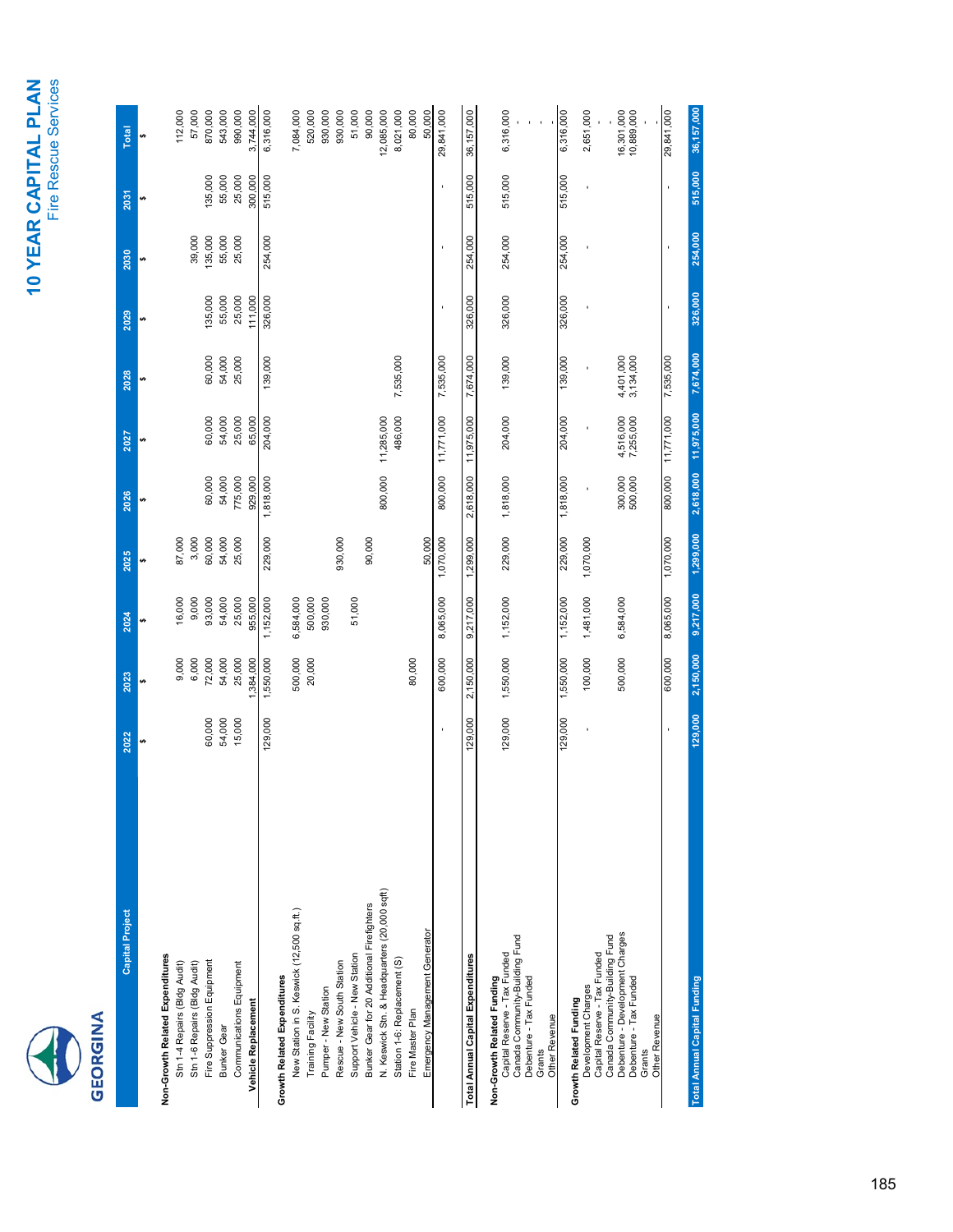## 10 YEAR CAPITAL PLAN **10 YEAR CAPITAL PLAN** Fire Rescue Services



| <b>Capital Project</b>                                         | 2022    | 2023      | 2024      | 2025      | 2026               | 2027                   | 2028                   | 2029    | 2030    | 2031    | <b>Total</b>             |
|----------------------------------------------------------------|---------|-----------|-----------|-----------|--------------------|------------------------|------------------------|---------|---------|---------|--------------------------|
|                                                                |         |           | υĄ        |           | ↮                  |                        |                        |         |         | မာ      | ₩                        |
| Non-Growth Related Expenditures                                |         |           |           |           |                    |                        |                        |         |         |         |                          |
| Stn 1-4 Repairs (Bldg Audit)                                   |         | 9,000     | 16,000    | 87,000    |                    |                        |                        |         |         |         | 112,000                  |
| Stn 1-6 Repairs (Bldg Audit)                                   |         | 6,000     | 9,000     | 3,000     |                    |                        |                        |         | 39,000  |         | 57,000                   |
| Fire Suppression Equipment                                     | 60,000  | 72,000    | 93,000    | 60,000    | 60,000             | 60,000                 | 60,000                 | 135,000 | 135,000 | 135,000 | 870,000                  |
| <b>Bunker Gear</b>                                             | 54,000  | 54,000    | 54,000    | 54,000    | 54,000             | 54,000                 | 54,000                 | 55,000  | 55,000  | 55,000  | 543,000                  |
| Communications Equipment                                       | 15,000  | 25,000    | 25,000    | 25,000    | 775,000            | 25,000                 | 25,000                 | 25,000  | 25,000  | 25,000  | 990,000                  |
| Vehicle Replacement                                            |         | 1,384,000 | 955,000   |           | 929,000            | 65,000                 |                        | 111,000 |         | 300,000 | 3,744,000                |
|                                                                | 129,000 | 1,550,000 | 1,152,000 | 229,000   | 1,818,000          | 204,000                | 139,000                | 326,000 | 254,000 | 515,000 | 6,316,000                |
| <b>Growth Related Expenditures</b>                             |         |           |           |           |                    |                        |                        |         |         |         |                          |
| New Station in S. Keswick (12,500 sq.ft.)                      |         | 500,000   | 6,584,000 |           |                    |                        |                        |         |         |         | 7,084,000                |
| Training Facility                                              |         | 20,000    | 500,000   |           |                    |                        |                        |         |         |         | 520,000                  |
| Pumper - New Station                                           |         |           | 930,000   |           |                    |                        |                        |         |         |         | 930,000                  |
| Rescue - New South Station                                     |         |           |           | 930,000   |                    |                        |                        |         |         |         | 930,000                  |
| Support Vehicle - New Station                                  |         |           | 51,000    |           |                    |                        |                        |         |         |         | 51,000                   |
| Bunker Gear for 20 Additional Firefighters                     |         |           |           | 90,000    |                    |                        |                        |         |         |         | 90,000                   |
| N. Keswick Stn. & Headquarters (20,000 sqft)                   |         |           |           |           | 800,000            | 11,285,000             |                        |         |         |         | 12,085,000               |
| Station 1-6: Replacement (S)                                   |         |           |           |           |                    | 486,000                | 7,535,000              |         |         |         | 8,021,000                |
| Fire Master Plan                                               |         | 80,000    |           |           |                    |                        |                        |         |         |         | 80,000                   |
| Emergency Management Generator                                 |         |           |           | 50,000    |                    |                        |                        |         |         |         | 50,000                   |
|                                                                |         | 600,000   | 8,065,000 | 1,070,000 | 800,000            | 11,771,000             | 7,535,000              |         |         |         | 29,841,000               |
| Total Annual Capital Expenditures                              | 129,000 | 2,150,000 | 9,217,000 | 1,299,000 | 2,618,000          | 11,975,000             | 7,674,000              | 326,000 | 254,000 | 515,000 | 36,157,000               |
| Non-Growth Related Funding                                     |         |           |           |           |                    |                        |                        |         |         |         |                          |
| Capital Reserve - Tax Funded                                   | 129,000 | 1,550,000 | 1,152,000 | 229,000   | 1,818,000          | 204,000                | 139,000                | 326,000 | 254,000 | 515,000 | 6,316,000                |
| Canada Community-Building Fund                                 |         |           |           |           |                    |                        |                        |         |         |         |                          |
| Debenture - Tax Funded                                         |         |           |           |           |                    |                        |                        |         |         |         |                          |
| Other Revenue<br>Grants                                        |         |           |           |           |                    |                        |                        |         |         |         |                          |
|                                                                | 129,000 | 1,550,000 | 1,152,000 | 229,000   | 1,818,000          | 204,000                | 139,000                | 326,000 | 254,000 | 515,000 | 6,316,000                |
| Growth Related Funding                                         |         |           |           |           |                    |                        |                        |         |         |         |                          |
| Development Charges                                            |         | 100,000   | 1,481,000 | 1,070,000 |                    |                        |                        |         |         |         | 2,651,000                |
| Canada Community-Building Fund<br>Capital Reserve - Tax Funded |         |           |           |           |                    |                        |                        |         |         |         |                          |
| Debenture - Development Charges                                |         | 500,000   | 6,584,000 |           |                    |                        |                        |         |         |         |                          |
| Debenture - Tax Funded                                         |         |           |           |           | 300,000<br>500,000 | 4,516,000<br>7,255,000 | 4,401,000<br>3,134,000 |         |         |         | 16,301,000<br>10,889,000 |
| Other Revenue<br>Grants                                        |         |           |           |           |                    |                        |                        |         |         |         |                          |
|                                                                |         |           |           |           |                    |                        |                        |         |         |         |                          |
|                                                                |         | 600,000   | 8,065,000 | 1,070,000 | 800,000            | 11,771,000             | 7,535,000              |         |         | í.      | 29,841,000               |
| <b>Total Annual Capital Funding</b>                            | 129,000 | 2,150,000 | 9,217,000 | 1,299,000 |                    | 2,618,000 11,975,000   | 7,674,000              | 326,000 | 254,000 | 515,000 | 36, 157, 000             |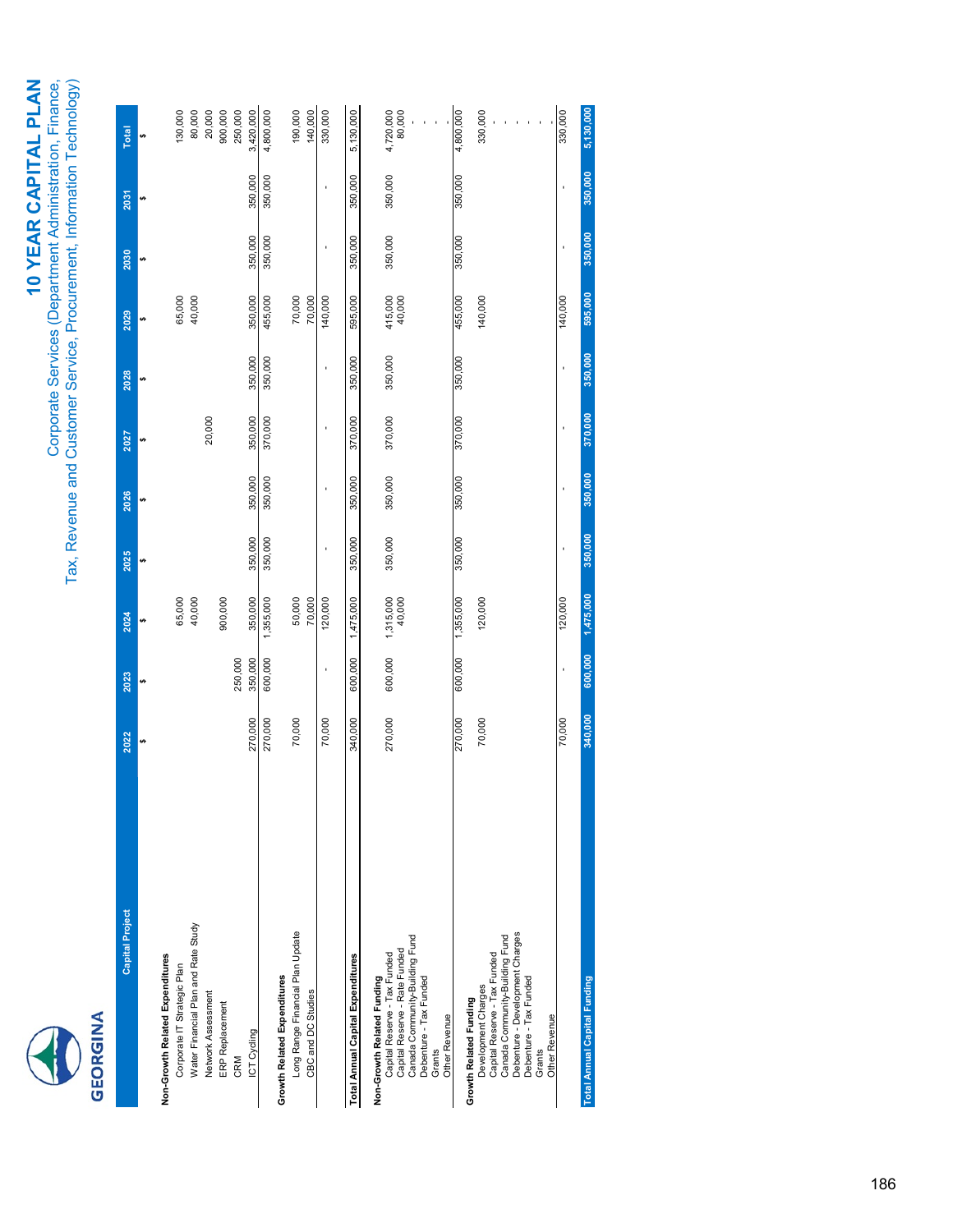# **CEORGINA**

# 10 YEAR CAPITAL PLAN **10 YEAR CAPITAL PLAN**

Corporate Services (Department Administration, Finance,<br>Tax, Revenue and Customer Service, Procurement, Information Technology) Corporate Services (Department Administration, Finance, Tax, Revenue and Customer Service, Procurement, Information Technology)

| <b>Capital Project</b>                                            | 2022    | 2023    | 2024                | 2025    | 2026    | 2027    | 2028    | 2029              | 2030           | 2031    | Total               |
|-------------------------------------------------------------------|---------|---------|---------------------|---------|---------|---------|---------|-------------------|----------------|---------|---------------------|
|                                                                   |         |         |                     |         |         |         | U)      |                   | v <sub>7</sub> | မာ      |                     |
| Non-Growth Related Expenditures                                   |         |         |                     |         |         |         |         |                   |                |         |                     |
| Corporate IT Strategic Plan                                       |         |         | 65,000              |         |         |         |         | 65,000            |                |         | 130,000             |
| Water Financial Plan and Rate Study                               |         |         | 40,000              |         |         |         |         | 40,000            |                |         | 80,000              |
| Network Assessment                                                |         |         |                     |         |         | 20,000  |         |                   |                |         | 20,000              |
| ERP Replacement                                                   |         |         | 900,000             |         |         |         |         |                   |                |         | 900,000             |
| CRM                                                               |         | 250,000 |                     |         |         |         |         |                   |                |         | 250,000             |
| ICT Cycling                                                       | 270,000 | 350,000 | 350,000             | 350,000 | 350,000 | 350,000 | 350,000 | 350,000           | 350,000        | 350,000 | 3,420,000           |
|                                                                   | 270,000 | 600,000 | 1,355,000           | 350,000 | 350,000 | 370,000 | 350,000 | 455,000           | 350,000        | 350,000 | 4,800,000           |
| <b>Growth Related Expenditures</b>                                |         |         |                     |         |         |         |         |                   |                |         |                     |
| Long Range Financial Plan Update                                  | 70,000  |         | 50,000              |         |         |         |         | 70,000            |                |         | 190,000             |
| CBC and DC Studies                                                |         |         | 70,000              |         |         |         |         | 70,000            |                |         | 140,000             |
|                                                                   | 70,000  |         | 120,000             |         |         |         |         | 140,000           |                |         | 330,000             |
| Total Annual Capital Expenditures                                 | 340,000 | 600,000 | 1,475,000           | 350,000 | 350,000 | 370,000 | 350,000 | 595,000           | 350,000        | 350,000 | 5,130,000           |
| Non-Growth Related Funding                                        |         |         |                     |         |         |         |         |                   |                |         |                     |
| Capital Reserve - Tax Funded                                      | 270,000 | 600,000 | 1,315,000<br>40,000 | 350,000 | 350,000 | 370,000 | 350,000 | 415,000<br>40,000 | 350,000        | 350,000 | 4,720,000<br>80,000 |
| Capital Reserve - Rate Funded                                     |         |         |                     |         |         |         |         |                   |                |         |                     |
| Canada Community-Building Fund                                    |         |         |                     |         |         |         |         |                   |                |         |                     |
| Debenture - Tax Funded                                            |         |         |                     |         |         |         |         |                   |                |         |                     |
| Other Revenue<br>Grants                                           |         |         |                     |         |         |         |         |                   |                |         |                     |
|                                                                   | 270,000 | 600,000 | 1,355,000           | 350,000 | 350,000 | 370,000 | 350,000 | 455,000           | 350,000        | 350,000 | 4,800,000           |
| Growth Related Funding                                            |         |         |                     |         |         |         |         |                   |                |         |                     |
| Development Charges                                               | 70,000  |         | 120,000             |         |         |         |         | 140,000           |                |         | 330,000             |
| Capital Reserve - Tax Funded                                      |         |         |                     |         |         |         |         |                   |                |         |                     |
| Debenture - Development Charges<br>Canada Community-Building Fund |         |         |                     |         |         |         |         |                   |                |         |                     |
| Debenture - Tax Funded                                            |         |         |                     |         |         |         |         |                   |                |         |                     |
| Grants                                                            |         |         |                     |         |         |         |         |                   |                |         |                     |
| Other Revenue                                                     |         |         |                     |         |         |         |         |                   |                |         |                     |
|                                                                   | 70,000  | ï       | 120,000             |         |         |         | ï       | 140,000           |                |         | 330,000             |
| <b>Total Annual Capital Funding</b>                               | 340,000 | 600,000 | 1,475,000           | 350,000 | 350,000 | 370,000 | 350,000 | 595,000           | 350,000        | 350,000 | 5,130,000           |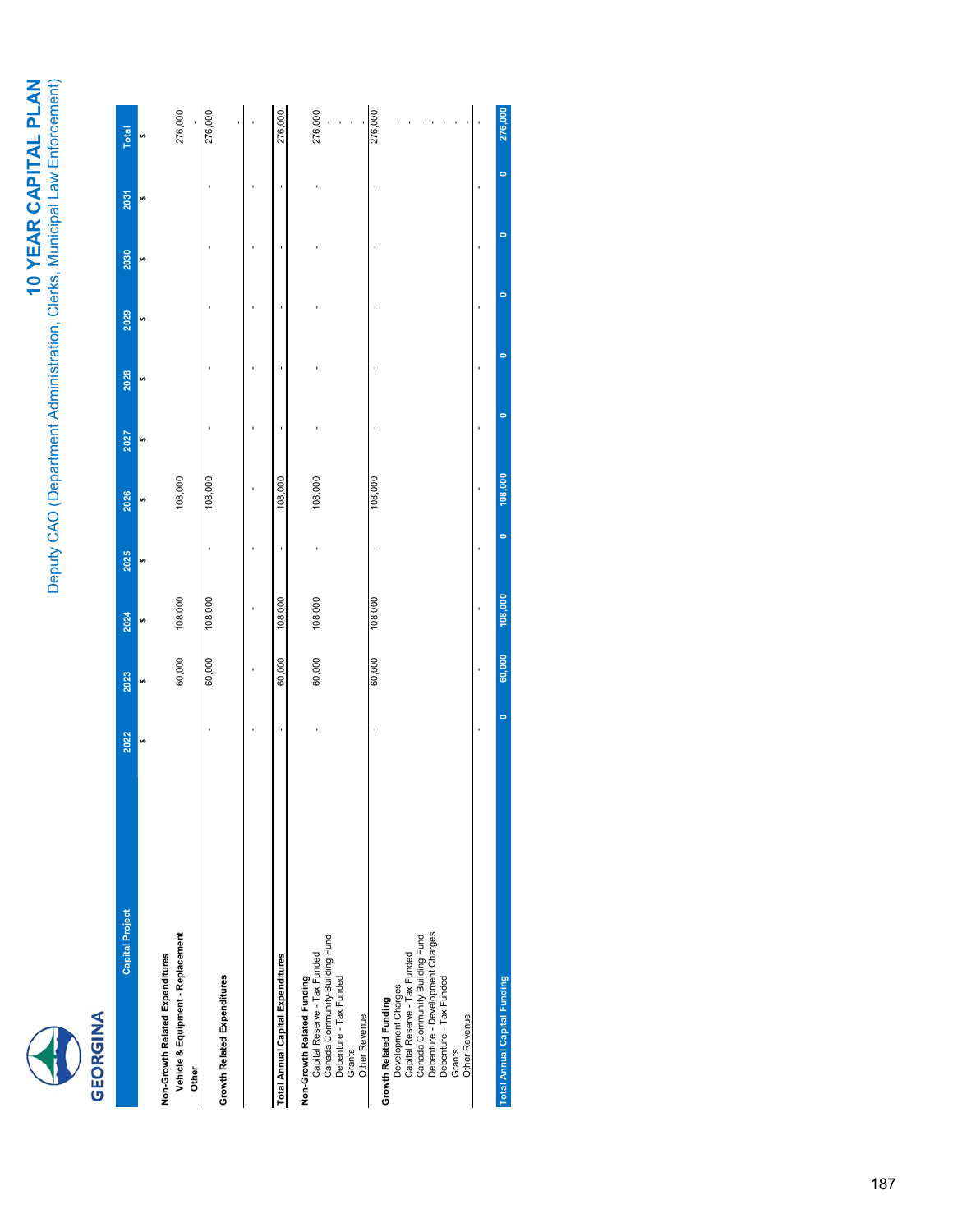

| <b>Capital Project</b>                                                                                                                                                                                  | 2022    | 2023   | 2024    | 2025    | 2026    | 2027 | 2028      | 2029    | 2030      | 2031 | <b>Total</b> |
|---------------------------------------------------------------------------------------------------------------------------------------------------------------------------------------------------------|---------|--------|---------|---------|---------|------|-----------|---------|-----------|------|--------------|
|                                                                                                                                                                                                         |         |        |         |         |         |      |           |         |           |      |              |
| Vehicle & Equipment - Replacement<br>Non-Growth Related Expenditures<br>Other                                                                                                                           |         | 60,000 | 108,000 |         | 108,000 |      |           |         |           |      | 276,000      |
| Growth Related Expenditures                                                                                                                                                                             |         | 60,000 | 108,000 |         | 108,000 |      |           |         |           |      | 276,000      |
|                                                                                                                                                                                                         |         |        |         |         |         |      |           |         |           |      |              |
| Total Annual Capital Expenditures                                                                                                                                                                       |         | 60,000 | 108,000 |         | 108,000 |      |           |         |           |      | 276,000      |
| Canada Community-Building Fund<br>Capital Reserve - Tax Funded<br>Debenture - Tax Funded<br>Non-Growth Related Funding<br>Other Revenue<br>Grants                                                       |         | 60,000 | 108,000 |         | 108,000 |      |           |         |           |      | 276,000      |
| Debenture - Development Charges<br>Canada Community-Building Fund<br>Development Charges<br>Capital Reserve - Tax Funded<br>Debenture - Tax Funded<br>Growth Related Funding<br>Other Revenue<br>Grants |         | 60,000 | 108,000 |         | 108,000 |      |           |         |           |      | 276,000      |
|                                                                                                                                                                                                         |         |        |         |         |         |      |           |         |           |      |              |
| <b>Total Annual Capital Funding</b>                                                                                                                                                                     | $\circ$ | 60,000 | 108,000 | $\circ$ | 108,000 | 0    | $\bullet$ | $\circ$ | $\bullet$ | 0    | 276,000      |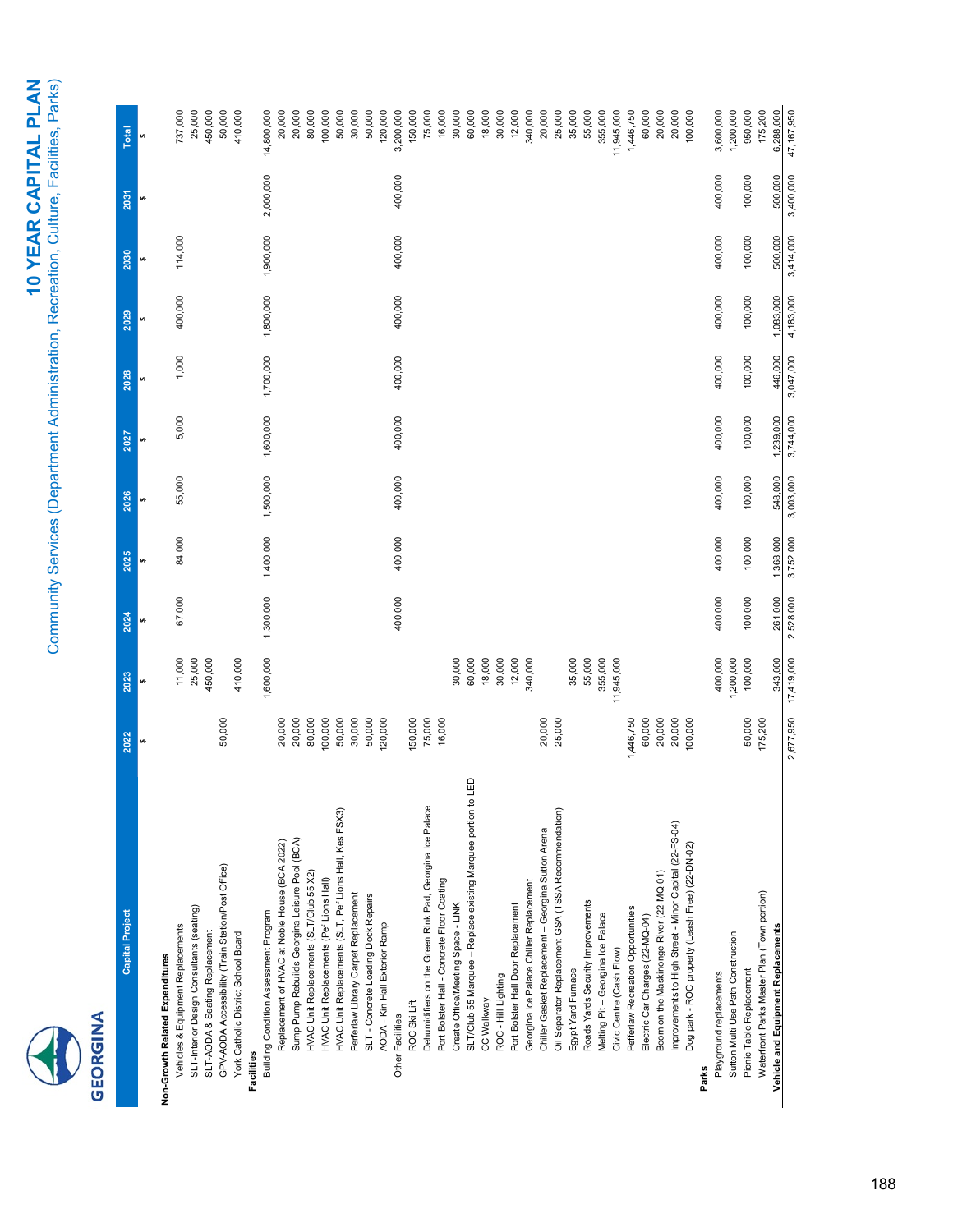# GEORGINA

| <b>Capital Project</b>                                               | 2022      | 2023       | 2024      | 2025      | 2026      | 2027      | 2028      | 2029      | 2030      | 2031      | Total      |
|----------------------------------------------------------------------|-----------|------------|-----------|-----------|-----------|-----------|-----------|-----------|-----------|-----------|------------|
|                                                                      |           |            |           |           |           |           |           | tĄ        |           |           |            |
| Vehicles & Equipment Replacements<br>Non-Growth Related Expenditures |           | 11,000     | 67,000    | 84,000    | 55,000    | 5,000     | 1,000     | 400,000   | 114,000   |           | 737,000    |
| SLT-Interior Design Consultants (seating)                            |           | 25,000     |           |           |           |           |           |           |           |           | 25,000     |
| SLT-AODA & Seating Replacement                                       |           | 450,000    |           |           |           |           |           |           |           |           | 450,000    |
| GPV-AODA Accessibility (Train Station/Post Office)                   | 50,000    |            |           |           |           |           |           |           |           |           | 50,000     |
| York Catholic District School Board<br>Facilities                    |           | 410,000    |           |           |           |           |           |           |           |           | 410,000    |
| Building Condition Assessment Program                                |           | 1,600,000  | 1,300,000 | 1,400,000 | 1,500,000 | 1,600,000 | 1,700,000 | 1,800,000 | 1,900,000 | 2,000,000 | 14,800,000 |
| Replacement of HVAC at Noble House (BCA 2022)                        | 20,000    |            |           |           |           |           |           |           |           |           | 20,000     |
| Sump Pump Rebuilds Georgina Leisure Pool (BCA)                       | 20,000    |            |           |           |           |           |           |           |           |           | 20,000     |
| HVAC Unit Replacements (SLT/Club 55 X2)                              | 80,000    |            |           |           |           |           |           |           |           |           | 80,000     |
| HVAC Unit Replacements (Pef Lions Hall)                              | 100,000   |            |           |           |           |           |           |           |           |           | 100,000    |
| HVAC Unit Replacements (SLT, Pef Lions Hall, Kes FSX3)               | 50,000    |            |           |           |           |           |           |           |           |           | 50,000     |
| Perferlaw Library Carpet Replacement                                 | 30,000    |            |           |           |           |           |           |           |           |           | 30,000     |
| SLT - Concrete Loading Dock Repairs                                  | 50,000    |            |           |           |           |           |           |           |           |           | 50,000     |
| AODA - Kin Hall Exterior Ramp                                        | 120,000   |            |           |           |           |           |           |           |           |           | 120,000    |
| Other Facilities                                                     |           |            | 400,000   | 400,000   | 400,000   | 400,000   | 400,000   | 400,000   | 400,000   | 400,000   | 3,200,000  |
| ROC Ski Lift                                                         | 150,000   |            |           |           |           |           |           |           |           |           | 150,000    |
| Dehumidifiers on the Green Rink Pad, Georgina Ice Palace             | 75,000    |            |           |           |           |           |           |           |           |           | 75,000     |
| Port Bolster Hall - Concrete Floor Coating                           | 16,000    |            |           |           |           |           |           |           |           |           | 16,000     |
| Create Office/Meeting Space - LINK                                   |           | 30,000     |           |           |           |           |           |           |           |           | 30,000     |
| G<br>SLT/Club 55 Marquee - Replace existing Marquee portion to       |           | 60,000     |           |           |           |           |           |           |           |           | 60,000     |
| CC Walkway                                                           |           | 18,000     |           |           |           |           |           |           |           |           | 18,000     |
| ROC - Hill Lighting                                                  |           | 30,000     |           |           |           |           |           |           |           |           | 30,000     |
| Port Bolster Hall Door Replacement                                   |           | 12,000     |           |           |           |           |           |           |           |           | 12,000     |
| Georgina Ice Palace Chiller Replacement                              |           | 340,000    |           |           |           |           |           |           |           |           | 340,000    |
| Chiller Gasket Replacement - Georgina Sutton Arena                   | 20,000    |            |           |           |           |           |           |           |           |           | 20,000     |
| Oil Separator Replacement GSA (TSSA Recommendation)                  | 25,000    |            |           |           |           |           |           |           |           |           | 25,000     |
| Egypt Yard Furnace                                                   |           | 35,000     |           |           |           |           |           |           |           |           | 35,000     |
| Roads Yards Security Improvements                                    |           | 55,000     |           |           |           |           |           |           |           |           | 55,000     |
| Melting Pit-Georgina Ice Palace                                      |           | 355,000    |           |           |           |           |           |           |           |           | 355,000    |
| Civic Centre (Cash Flow)                                             |           | 11,945,000 |           |           |           |           |           |           |           |           | 11,945,000 |
| Pefferlaw Recreation Opportunities                                   | 1,446,750 |            |           |           |           |           |           |           |           |           | 1,446,750  |
| Electric Car Charges (22-MQ-04)                                      | 60,000    |            |           |           |           |           |           |           |           |           | 60,000     |
| Boom on the Maskinonge River (22-MQ-01)                              | 20,000    |            |           |           |           |           |           |           |           |           | 20,000     |
| Improvements to High Street - Minor Capital (22-FS-04)               | 20,000    |            |           |           |           |           |           |           |           |           | 20,000     |
| Dog park - ROC property (Leash Free) (22-DN-02)                      | 100,000   |            |           |           |           |           |           |           |           |           | 100,000    |
| Parks                                                                |           |            |           |           |           |           |           |           |           |           |            |
| Playground replacements                                              |           | 400,000    | 400,000   | 400,000   | 400,000   | 400,000   | 400,000   | 400,000   | 400,000   | 400,000   | 3,600,000  |
| Sutton Multi Use Path Construction                                   |           | 1,200,000  |           |           |           |           |           |           |           |           | 1,200,000  |
| Picnic Table Replacement                                             | 50,000    | 100,000    | 100,000   | 100,000   | 100,000   | 100,000   | 100,000   | 100,000   | 100,000   | 100,000   | 950,000    |
| Waterfront Parks Master Plan (Town portion)                          | 175,200   |            |           |           |           |           |           |           |           |           | 175,200    |
| Vehicle and Equipment Replacements                                   |           | 343,000    | 261,000   | 1,368,000 | 548,000   | 1,239,000 | 446,000   | 1,083,000 | 500,000   | 500,000   | 6,288,000  |
|                                                                      | 2,677,950 | 17,419,000 | 2,528,000 | 3,752,000 | 3,003,000 | 3,744,000 | 3,047,000 | 4,183,000 | 3,414,000 | 3,400,000 | 47,167,950 |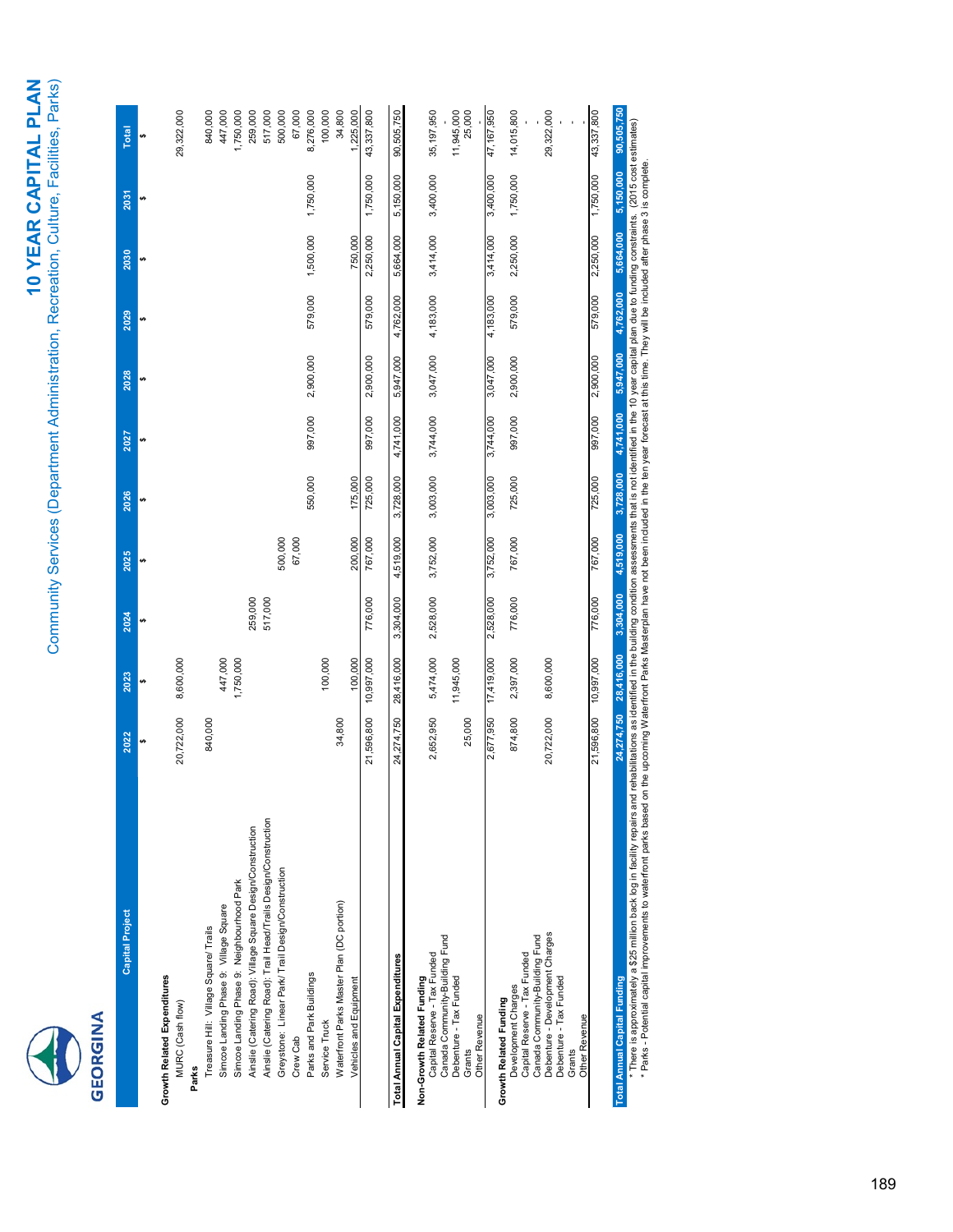| <b>Capital Project</b>                                                                                                                                                                                                                                                                                | 2022                                                                                                                                                       | 2023       | 2024      | 2025      | 2026      | 2027      | 2028      | 2029      | 2030      | 2031      | <b>Total</b> |
|-------------------------------------------------------------------------------------------------------------------------------------------------------------------------------------------------------------------------------------------------------------------------------------------------------|------------------------------------------------------------------------------------------------------------------------------------------------------------|------------|-----------|-----------|-----------|-----------|-----------|-----------|-----------|-----------|--------------|
|                                                                                                                                                                                                                                                                                                       |                                                                                                                                                            |            |           |           |           |           |           |           |           | မာ        | မာ           |
| <b>Growth Related Expenditures</b><br>MURC (Cash flow)                                                                                                                                                                                                                                                | 20,722,000                                                                                                                                                 | 8,600,000  |           |           |           |           |           |           |           |           | 29,322,000   |
| Treasure Hill: Village Square/ Trails<br>Parks                                                                                                                                                                                                                                                        | 840,000                                                                                                                                                    |            |           |           |           |           |           |           |           |           | 840,000      |
| Simcoe Landing Phase 9: Village Square                                                                                                                                                                                                                                                                |                                                                                                                                                            | 447,000    |           |           |           |           |           |           |           |           | 447,000      |
| Simcoe Landing Phase 9: Neighbourhood Park                                                                                                                                                                                                                                                            |                                                                                                                                                            | 1,750,000  |           |           |           |           |           |           |           |           | 1,750,000    |
| Ainslie (Catering Road): Village Square Design/Construction                                                                                                                                                                                                                                           |                                                                                                                                                            |            | 259,000   |           |           |           |           |           |           |           | 259,000      |
| Ainslie (Catering Road): Trail Head/Trails Design/Construction                                                                                                                                                                                                                                        |                                                                                                                                                            |            | 517,000   |           |           |           |           |           |           |           | 517,000      |
| Greystone: Linear Park/ Trail Design/Construction                                                                                                                                                                                                                                                     |                                                                                                                                                            |            |           | 500,000   |           |           |           |           |           |           | 500,000      |
| Crew Cab                                                                                                                                                                                                                                                                                              |                                                                                                                                                            |            |           | 67,000    |           |           |           |           |           |           | 67,000       |
| Parks and Park Buildings                                                                                                                                                                                                                                                                              |                                                                                                                                                            |            |           |           | 550,000   | 997,000   | 2,900,000 | 579,000   | 1,500,000 | 1,750,000 | 8,276,000    |
| Service Truck                                                                                                                                                                                                                                                                                         |                                                                                                                                                            | 100,000    |           |           |           |           |           |           |           |           | 100,000      |
| Waterfront Parks Master Plan (DC portion)                                                                                                                                                                                                                                                             | 34,800                                                                                                                                                     |            |           |           |           |           |           |           |           |           | 34,800       |
| Vehicles and Equipment                                                                                                                                                                                                                                                                                |                                                                                                                                                            | 100,000    |           | 200,000   | 175,000   |           |           |           | 750,000   |           | 1,225,000    |
|                                                                                                                                                                                                                                                                                                       | 21,596,800                                                                                                                                                 | 10,997,000 | 776,000   | 767,000   | 725,000   | 997,000   | 2,900,000 | 579,000   | 2,250,000 | 1,750,000 | 43,337,800   |
| Total Annual Capital Expenditures                                                                                                                                                                                                                                                                     | 24,274,750                                                                                                                                                 | 28,416,000 | 3,304,000 | 4,519,000 | 3,728,000 | 4,741,000 | 5,947,000 | 4,762,000 | 5,664,000 | 5,150,000 | 90,505,750   |
|                                                                                                                                                                                                                                                                                                       |                                                                                                                                                            |            |           |           |           |           |           |           |           |           |              |
| Capital Reserve - Tax Funded<br>Non-Growth Related Funding                                                                                                                                                                                                                                            | 2,652,950                                                                                                                                                  | 5,474,000  | 2,528,000 | 3,752,000 | 3,003,000 | 3,744,000 | 3,047,000 | 4,183,000 | 3,414,000 | 3,400,000 | 35,197,950   |
| Canada Community-Building Fund<br>Debenture - Tax Funded                                                                                                                                                                                                                                              |                                                                                                                                                            | 11,945,000 |           |           |           |           |           |           |           |           | 11,945,000   |
| Other Revenue<br>Grants                                                                                                                                                                                                                                                                               | 25,000                                                                                                                                                     |            |           |           |           |           |           |           |           |           | 25,000       |
|                                                                                                                                                                                                                                                                                                       | 2,677,950                                                                                                                                                  | 17,419,000 | 2,528,000 | 3,752,000 | 3,003,000 | 3,744,000 | 3,047,000 | 4,183,000 | 3,414,000 | 3,400,000 | 47,167,950   |
| Growth Related Funding                                                                                                                                                                                                                                                                                |                                                                                                                                                            |            |           |           |           |           |           |           |           |           |              |
| Capital Reserve - Tax Funded<br>Development Charges                                                                                                                                                                                                                                                   | 874,800                                                                                                                                                    | 2,397,000  | 776,000   | 767,000   | 725,000   | 997,000   | 2,900,000 | 579,000   | 2,250,000 | 1,750,000 | 14,015,800   |
| Canada Community-Building Fund                                                                                                                                                                                                                                                                        |                                                                                                                                                            |            |           |           |           |           |           |           |           |           |              |
| Debenture - Development Charges                                                                                                                                                                                                                                                                       | 20,722,000                                                                                                                                                 | 8,600,000  |           |           |           |           |           |           |           |           | 29,322,000   |
| Debenture - Tax Funded                                                                                                                                                                                                                                                                                |                                                                                                                                                            |            |           |           |           |           |           |           |           |           |              |
| Other Revenue<br>Grants                                                                                                                                                                                                                                                                               |                                                                                                                                                            |            |           |           |           |           |           |           |           |           |              |
|                                                                                                                                                                                                                                                                                                       | 21,596,800                                                                                                                                                 | 10,997,000 | 776,000   | 767,000   | 725,000   | 000,766   | 2,900,000 | 579,000   | 2,250,000 | 1,750,000 | 43,337,800   |
| <b>Total Annual Capital Funding</b>                                                                                                                                                                                                                                                                   | 24,274,750                                                                                                                                                 | 28,416,000 | 3,304,000 | 4,519,000 | 3,728,000 | 4,741,000 | 5,947,000 | 4,762,000 | 5,664,000 | 5,150,000 | 90,505,750   |
| * There is approximately a \$25 million back log in facility repairs and rehabilitations as identified in the building condition assessments that is not identified in the 10 year capital plan due to funding constraints. (20<br>* Parks - Potential capital improvements to waterfront parks based | on the upcoming Waterfront Parks Masterplan have not been included in the ten year forecast at this time. They will be included after phase 3 is complete. |            |           |           |           |           |           |           |           |           |              |
|                                                                                                                                                                                                                                                                                                       |                                                                                                                                                            |            |           |           |           |           |           |           |           |           |              |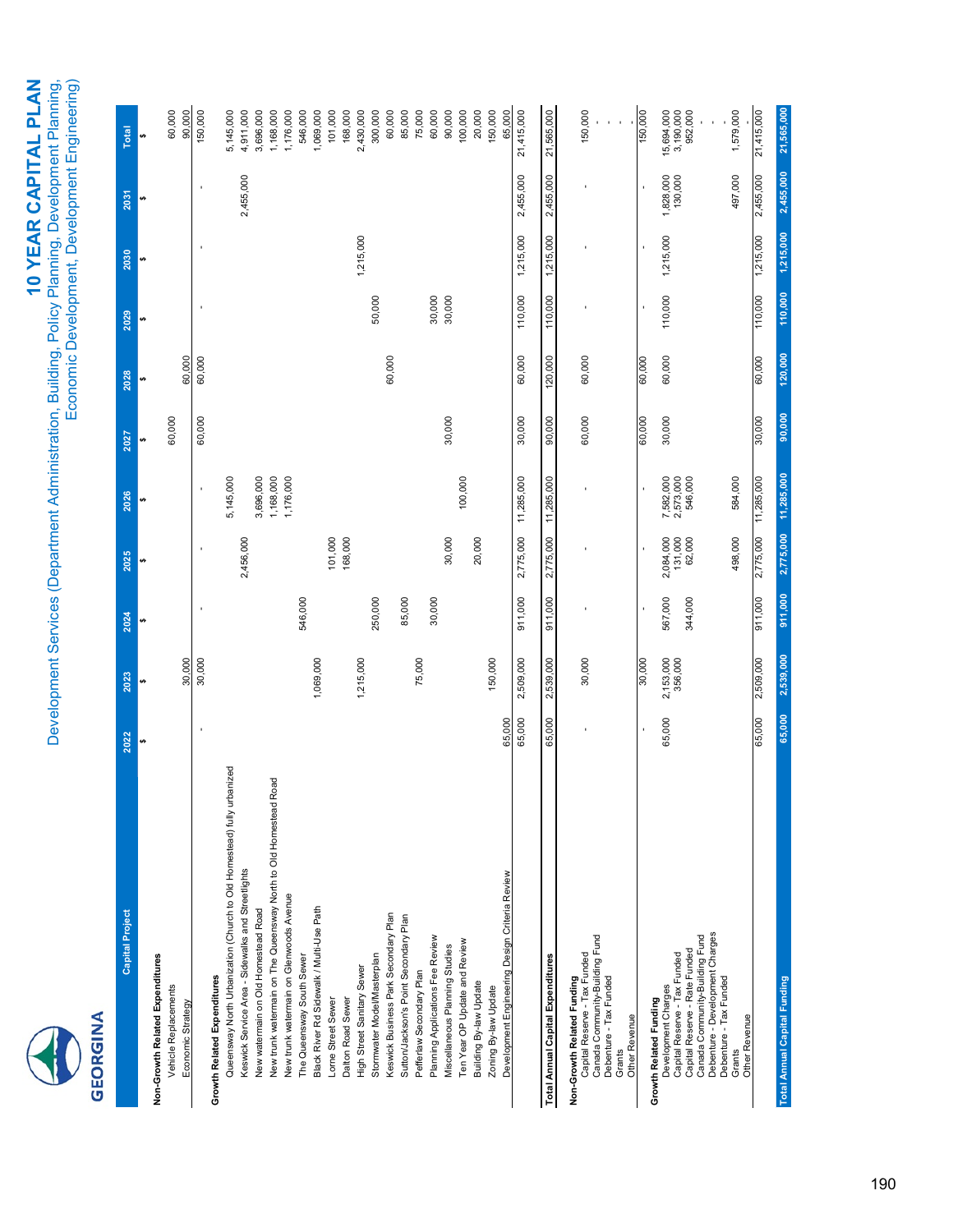## **GEORGINA**

# 10 YEAR CAPITAL PLAN **10 YEAR CAPITAL PLAN**

Development Services (Department Administration, Building, Policy Planning, Development Planning,<br>Economic Development, Development Engineering) Development Services (Department Administration, Building, Policy Planning, Development Planning,

Economic Development, Development Engineering)

| <b>Capital Project</b>                                                 | 2022      | 2023                 | 2024    | 2025              | 2026                              | 2027   | 2028    | 2029    | 2030      | 2031                 | <b>Total</b>         |
|------------------------------------------------------------------------|-----------|----------------------|---------|-------------------|-----------------------------------|--------|---------|---------|-----------|----------------------|----------------------|
|                                                                        | $\bullet$ |                      |         |                   | ↮                                 |        | ↮       |         | ₩         | <b>SA</b>            | ↮                    |
| Non-Growth Related Expenditures                                        |           |                      |         |                   |                                   |        |         |         |           |                      |                      |
| Vehicle Replacements                                                   |           |                      |         |                   |                                   | 60,000 |         |         |           |                      | 60,000               |
| Economic Strategy                                                      |           | 30,000               |         |                   |                                   |        | 60,000  |         |           |                      | 90,000               |
|                                                                        |           | 30,000               |         |                   |                                   | 60,000 | 60,000  |         |           |                      | 150,000              |
| <b>Growth Related Expenditures</b>                                     |           |                      |         |                   |                                   |        |         |         |           |                      |                      |
| Queensway North Urbanization (Church to Old Homestead) fully urbanized |           |                      |         |                   | 5,145,000                         |        |         |         |           |                      | 5,145,000            |
| Keswick Service Area - Sidewalks and Streetlights                      |           |                      |         | 2,456,000         |                                   |        |         |         |           | 2,455,000            | 4,911,000            |
| New watermain on Old Homestead Road                                    |           |                      |         |                   | 3,696,000                         |        |         |         |           |                      | 3,696,000            |
| Road<br>New trunk watermain on The Queensway North to Old Homestead    |           |                      |         |                   | 1,168,000                         |        |         |         |           |                      | 1,168,000            |
| New trunk watermain on Glenwoods Avenue                                |           |                      |         |                   | 1,176,000                         |        |         |         |           |                      | 1,176,000            |
| The Queensway South Sewer                                              |           |                      | 546,000 |                   |                                   |        |         |         |           |                      | 546,000              |
| Black River Rd Sidewalk / Multi-Use Path                               |           | 1,069,000            |         |                   |                                   |        |         |         |           |                      | 1,069,000            |
| Lorne Street Sewer                                                     |           |                      |         | 101,000           |                                   |        |         |         |           |                      | 101,000              |
| Dalton Road Sewer                                                      |           |                      |         | 168,000           |                                   |        |         |         |           |                      | 168,000              |
| High Street Sanitary Sewer                                             |           | 1,215,000            |         |                   |                                   |        |         |         | 1,215,000 |                      | 2,430,000            |
| Stormwater Model/Masterplan                                            |           |                      | 250,000 |                   |                                   |        |         | 50,000  |           |                      | 300,000              |
| Keswick Business Park Secondary Plan                                   |           |                      |         |                   |                                   |        | 60,000  |         |           |                      | 60,000               |
| Sutton/Jackson's Point Secondary Plan                                  |           |                      | 85,000  |                   |                                   |        |         |         |           |                      | 85,000               |
| Pefferlaw Secondary Plan                                               |           | 75,000               |         |                   |                                   |        |         |         |           |                      | 75,000               |
| Planning Applications Fee Review                                       |           |                      | 30,000  |                   |                                   |        |         | 30,000  |           |                      | 60,000               |
| Miscellaneous Planning Studies                                         |           |                      |         | 30,000            |                                   | 30,000 |         | 30,000  |           |                      | 90,000               |
| Ten Year OP Update and Review                                          |           |                      |         |                   | 100,000                           |        |         |         |           |                      | 100,000              |
| Building By-law Update                                                 |           |                      |         | 20,000            |                                   |        |         |         |           |                      | 20,000               |
| Zoning By-law Update                                                   |           | 150,000              |         |                   |                                   |        |         |         |           |                      | 150,000              |
| Development Engineering Design Criteria Review                         | 65,000    |                      |         |                   |                                   |        |         |         |           |                      | 65,000               |
|                                                                        | 65,000    | 2,509,000            | 911,000 | 2,775,000         | 11,285,000                        | 30,000 | 60,000  | 110,000 | 1,215,000 | 2,455,000            | 21,415,000           |
| <b>Total Annual Capital Expenditures</b>                               | 65,000    | 2,539,000            | 911,000 | 2,775,000         | 11,285,000                        | 90,000 | 120,000 | 110,000 | 1,215,000 | 2,455,000            | 21,565,000           |
| Non-Growth Related Funding                                             |           |                      |         |                   |                                   |        |         |         |           |                      |                      |
| Canada Community-Building Fund<br>Capital Reserve - Tax Funded         |           | 30,000               |         |                   |                                   | 60,000 | 60,000  |         |           |                      | 150,000              |
| Debenture - Tax Funded                                                 |           |                      |         |                   |                                   |        |         |         |           |                      |                      |
| Other Revenue<br>Grants                                                |           |                      |         |                   |                                   |        |         |         |           |                      |                      |
| Growth Related Funding                                                 |           | 30,000               |         |                   |                                   | 60,000 | 60,000  |         |           |                      | 150,000              |
| Development Charges                                                    | 65,000    |                      | 567,000 | 2,084,000         |                                   | 30,000 | 60,000  | 110,000 | 1,215,000 |                      | 15,694,000           |
| Capital Reserve - Tax Funded                                           |           | 2,153,000<br>356,000 |         | 131,000<br>62,000 | 7,582,000<br>2,573,000<br>546,000 |        |         |         |           | 1,828,000<br>130,000 | 3,190,000<br>952,000 |
| Capital Reserve - Rate Funded                                          |           |                      | 344,000 |                   |                                   |        |         |         |           |                      |                      |
| Debenture - Development Charges<br>Canada Community-Building Fund      |           |                      |         |                   |                                   |        |         |         |           |                      |                      |
| Debenture - Tax Funded                                                 |           |                      |         |                   |                                   |        |         |         |           |                      |                      |
| Grants                                                                 |           |                      |         | 498,000           | 584,000                           |        |         |         |           | 497,000              | 1,579,000            |
| Other Revenue                                                          |           |                      |         |                   |                                   |        |         |         |           |                      |                      |

65,000 2,509,000 911,000 2,775,000 11,285,000 30,000 60,000 110,000 1,215,000 2,455,000 21,415,000

584,000 11,285,000

90,000 30,000

60,000 120,000

21,565,000

110,000 1,215,000 2,455,000

110,000 1,215,000 2,455,000

1,579,000 21,415,000 **Total Annual Capital Funding 65,000 2,539,000 911,000 2,775,000 11,285,000 90,000 120,000 110,000 1,215,000 2,455,000 21,565,000**

2,539,000

65,000

**Total Annual Capital Funding** 

911,000 2,775,000 11,285,000

2,775,000 498,000

911,000

65,000 2,509,000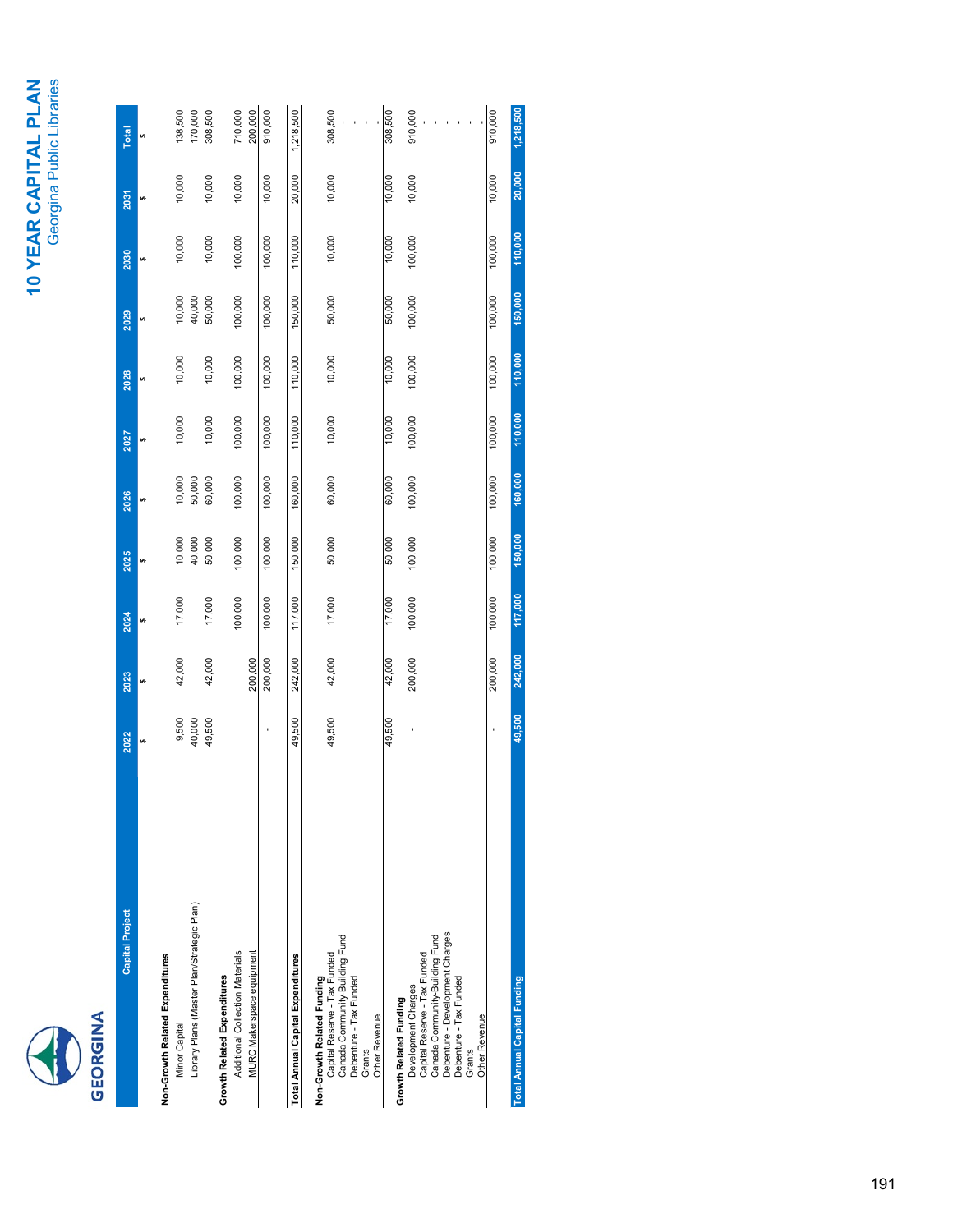## 10 YEAR CAPITAL PLAN<br>Georgina Public Libraries **10 YEAR CAPITAL PLAN** Georgina Public Libraries



| <b>Capital Project</b>                     | 2022   | 2023    | 2024    | 2025    | 2026    | 2027    | 2028    | 2029    | 2030    | 2031   | Total     |
|--------------------------------------------|--------|---------|---------|---------|---------|---------|---------|---------|---------|--------|-----------|
|                                            |        | မာ      | v9      |         |         |         |         |         | v9      |        |           |
| Non-Growth Related Expenditures            |        |         |         |         |         |         |         |         |         |        |           |
| <b>Minor Capital</b>                       | 9,500  | 42,000  | 17,000  | 10,000  | 10,000  | 10,000  | 10,000  | 10,000  | 10,000  | 10,000 | 138,500   |
| Library Plans (Master Plan/Strategic Plan) | 40,000 |         |         | 40,000  | 50,000  |         |         | 40,000  |         |        | 170,000   |
|                                            | 49,500 | 42,000  | 17,000  | 50,000  | 60,000  | 10,000  | 10,000  | 50,000  | 10,000  | 10,000 | 308,500   |
| Growth Related Expenditures                |        |         |         |         |         |         |         |         |         |        |           |
| Additional Collection Materials            |        |         | 100,000 | 100,000 | 100,000 | 100,000 | 100,000 | 100,000 | 100,000 | 10,000 | 710,000   |
| MURC Makerspace equipment                  |        | 200,000 |         |         |         |         |         |         |         |        | 200,000   |
|                                            |        | 200,000 | 100,000 | 100,000 | 100,000 | 100,000 | 100,000 | 100,000 | 100,000 | 10,000 | 910,000   |
| Total Annual Capital Expenditures          | 49,500 | 242,000 | 117,000 | 150,000 | 160,000 | 110,000 | 110,000 | 150,000 | 110,000 | 20,000 | 1,218,500 |
| Non-Growth Related Funding                 |        |         |         |         |         |         |         |         |         |        |           |
| Capital Reserve - Tax Funded               | 49,500 | 42,000  | 17,000  | 50,000  | 60,000  | 10,000  | 10,000  | 50,000  | 10,000  | 10,000 | 308,500   |
| Canada Community-Building Fund             |        |         |         |         |         |         |         |         |         |        |           |
| Debenture - Tax Funded                     |        |         |         |         |         |         |         |         |         |        |           |
| Grants                                     |        |         |         |         |         |         |         |         |         |        |           |
| Other Revenue                              |        |         |         |         |         |         |         |         |         |        |           |
|                                            | 49,500 | 42,000  | 17,000  | 50,000  | 60,000  | 10,000  | 10,000  | 50,000  | 10,000  | 10,000 | 308,500   |
| Growth Related Funding                     |        |         |         |         |         |         |         |         |         |        |           |
| Development Charges                        |        | 200,000 | 100,000 | 100,000 | 100,000 | 100,000 | 100,000 | 100,000 | 100,000 | 10,000 | 910,000   |
| Capital Reserve - Tax Funded               |        |         |         |         |         |         |         |         |         |        |           |
| Canada Community-Building Fund             |        |         |         |         |         |         |         |         |         |        |           |
| Debenture - Development Charges            |        |         |         |         |         |         |         |         |         |        |           |
| Debenture - Tax Funded                     |        |         |         |         |         |         |         |         |         |        |           |
| Grants                                     |        |         |         |         |         |         |         |         |         |        |           |
| Other Revenue                              |        |         |         |         |         |         |         |         |         |        |           |
|                                            |        | 200,000 | 100,000 | 100,000 | 100,000 | 100,000 | 100,000 | 100,000 | 100,000 | 10,000 | 910,000   |
| <b>Total Annual Capital Funding</b>        | 49,500 | 242,000 | 117,000 | 150,000 | 160,000 | 110,000 | 110,000 | 150,000 | 110,000 | 20,000 | 1,218,500 |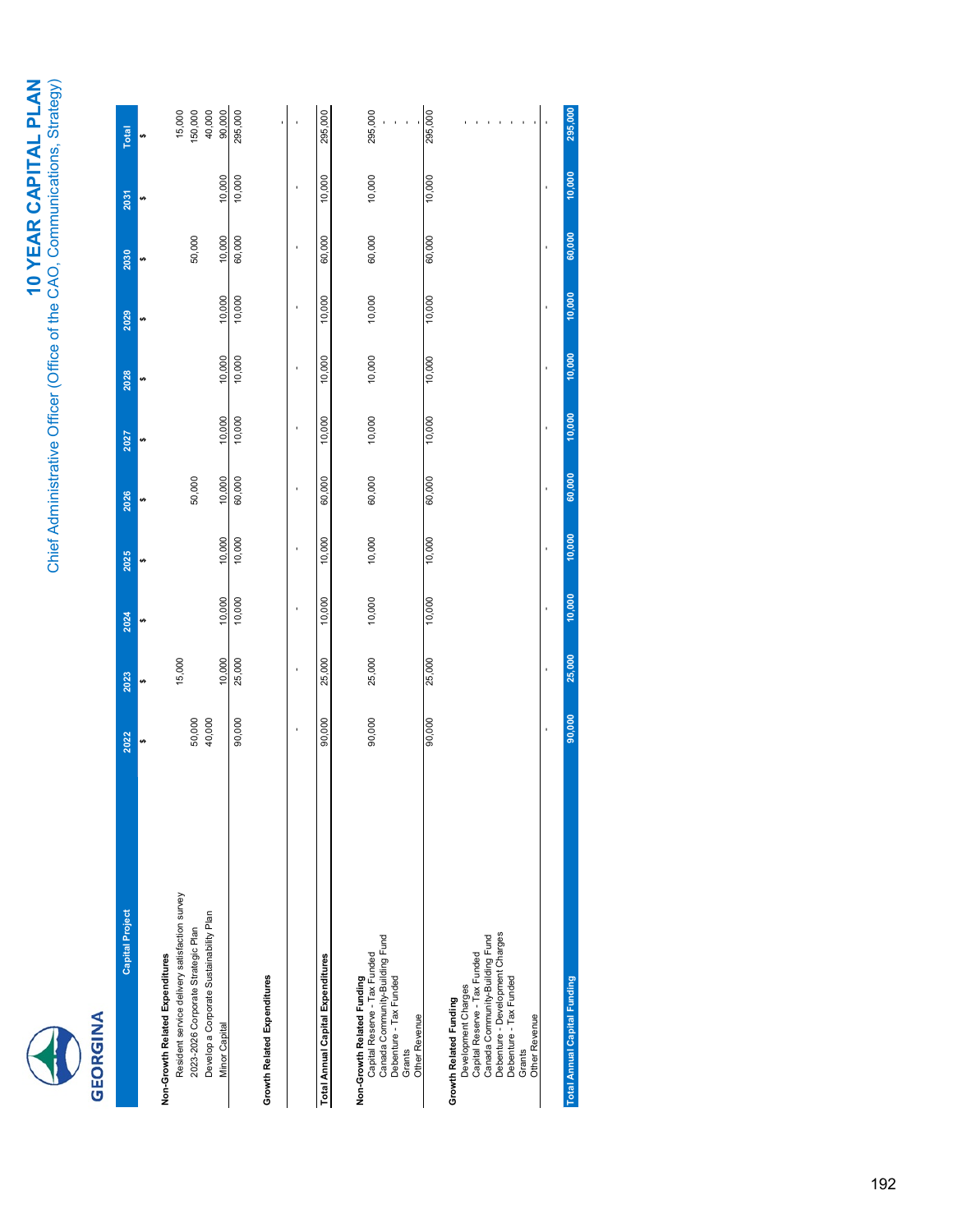|  | ÷ |
|--|---|
|  |   |

| <b>Capital Project</b>                                         | 2022   | 2023   | 2024   | 2025   | 2026   | 2027   | 2028   | 2029   | 2030   | 2031   | Total             |
|----------------------------------------------------------------|--------|--------|--------|--------|--------|--------|--------|--------|--------|--------|-------------------|
|                                                                | U)     |        | s,     | ₩      | u)     |        | s,     | s,     | s,     | ₩      | s,                |
| Non-Growth Related Expenditures                                |        |        |        |        |        |        |        |        |        |        |                   |
| Resident service delivery satisfaction survey                  |        | 15,000 |        |        |        |        |        |        |        |        | 15,000<br>150,000 |
| 2023-2026 Corporate Strategic Plan                             | 50,000 |        |        |        | 50,000 |        |        |        | 50,000 |        |                   |
| Develop a Corporate Sustainability Plan                        | 40,000 |        |        |        |        |        |        |        |        |        |                   |
| <b>Minor Capital</b>                                           |        | 10,000 | 10,000 | 10,000 | 10,000 | 10,000 | 10,000 | 10,000 | 10,000 | 10,000 | 40,000<br>90,000  |
|                                                                | 90,000 | 25,000 | 10,000 | 10,000 | 60,000 | 10,000 | 10,000 | 10,000 | 60,000 | 10,000 | 295,000           |
| Growth Related Expenditures                                    |        |        |        |        |        |        |        |        |        |        |                   |
|                                                                |        |        |        | t      |        |        |        |        |        |        |                   |
| Total Annual Capital Expenditures                              | 90,000 | 25,000 | 10,000 | 10,000 | 60,000 | 10,000 | 10,000 | 10,000 | 60,000 | 10,000 | 295,000           |
|                                                                |        |        |        |        |        |        |        |        |        |        |                   |
| Non-Growth Related Funding                                     |        |        |        |        |        |        |        |        |        |        |                   |
| Canada Community-Building Fund<br>Capital Reserve - Tax Funded | 90,000 | 25,000 | 10,000 | 10,000 | 60,000 | 10,000 | 10,000 | 10,000 | 60,000 | 10,000 | 295,000           |
| Debenture - Tax Funded                                         |        |        |        |        |        |        |        |        |        |        |                   |
| Grants                                                         |        |        |        |        |        |        |        |        |        |        |                   |
| Other Revenue                                                  |        |        |        |        |        |        |        |        |        |        |                   |
|                                                                | 90,000 | 25,000 | 10,000 | 10,000 | 60,000 | 10,000 | 10,000 | 10,000 | 60,000 | 10,000 | 295,000           |
| Growth Related Funding                                         |        |        |        |        |        |        |        |        |        |        |                   |
| Development Charges                                            |        |        |        |        |        |        |        |        |        |        |                   |
| Capital Reserve - Tax Funded                                   |        |        |        |        |        |        |        |        |        |        |                   |
| Canada Community-Building Fund                                 |        |        |        |        |        |        |        |        |        |        |                   |
| Debenture - Development Charges                                |        |        |        |        |        |        |        |        |        |        |                   |
| Debenture - Tax Funded                                         |        |        |        |        |        |        |        |        |        |        |                   |
| Grants                                                         |        |        |        |        |        |        |        |        |        |        |                   |
| Other Revenue                                                  |        |        |        |        |        |        |        |        |        |        |                   |
|                                                                |        |        |        |        |        |        |        |        |        |        |                   |

**Total Annual Capital Funding 90,000 25,000 10,000 10,000 60,000 10,000 10,000 10,000 60,000 10,000 295,000**

 $10,000$ 

25,000

90,000

**Total Annual Capital Funding** 

295,000

 $10,000$ 

60,000

10,000

 $10,000$ 

 $10,000$ 

60,000

 $10,000$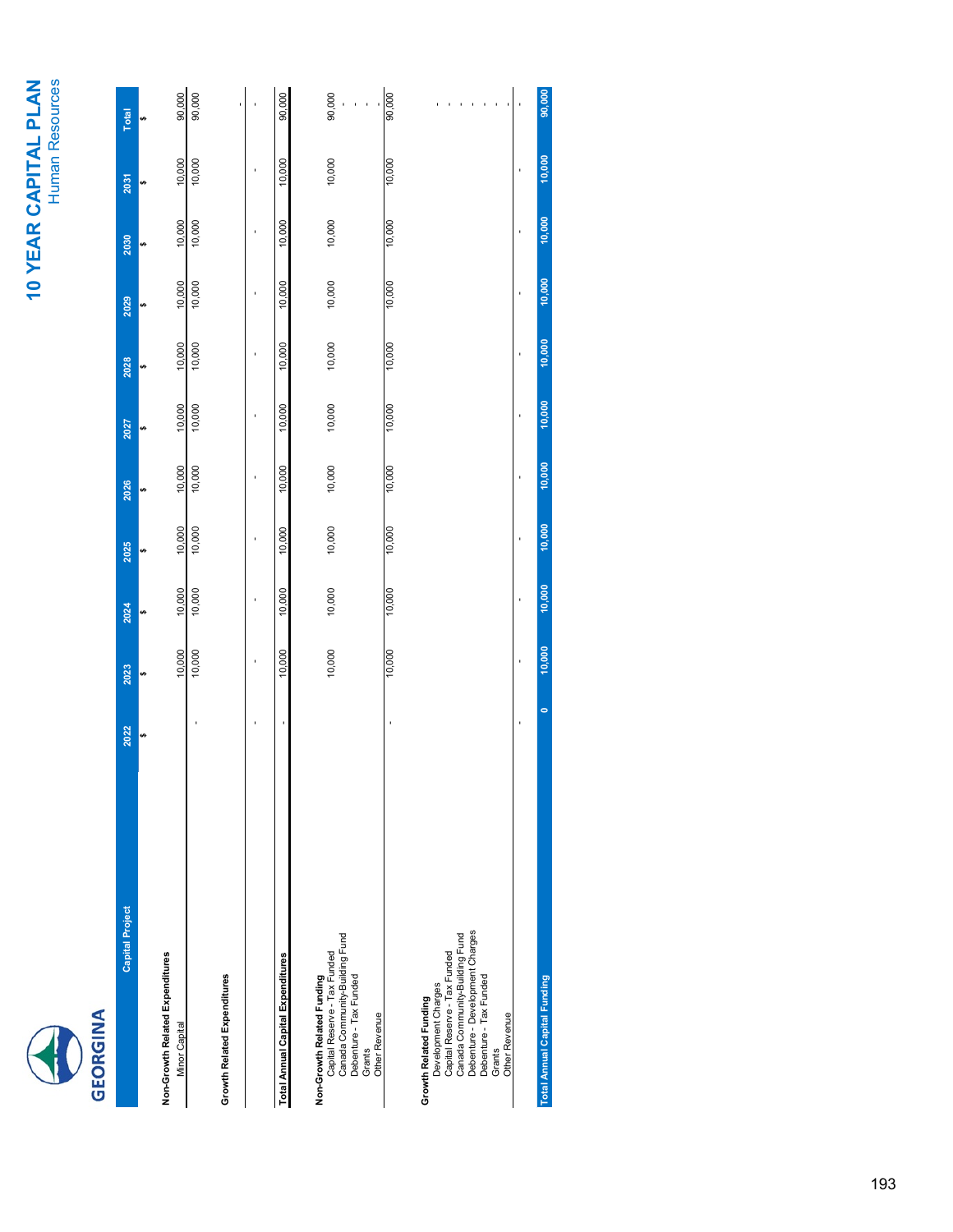# **10 YEAR CAPITAL PLAN**<br>Human Resources **10 YEAR CAPITAL PLAN**



Human Resources

| 1<br>5<br>0<br>0<br>0<br>0<br>1                                                                                                                                                                         |      |        |        |        |                |        |                |        |        |        |        |
|---------------------------------------------------------------------------------------------------------------------------------------------------------------------------------------------------------|------|--------|--------|--------|----------------|--------|----------------|--------|--------|--------|--------|
| <b>Capital Project</b>                                                                                                                                                                                  | 2022 | 2023   | 2024   | 2025   | 2026           | 2027   | 2028           | 2029   | 2030   | 2031   | Total  |
|                                                                                                                                                                                                         | u)   | s,     | မာ     | v)     |                | u)     | v)             | s,     | s,     | v)     |        |
| Non-Growth Related Expenditures<br><b>Minor Capital</b>                                                                                                                                                 |      | 10,000 | 10,000 | 10,000 | 10,000         | 10,000 | 10,000         | 10,000 | 10,000 | 10,000 | 90,000 |
|                                                                                                                                                                                                         |      | 10,000 | 10,000 | 10,000 | 10,000         | 10,000 | 10,000         | 10,000 | 10,000 | 10,000 | 90,000 |
| Growth Related Expenditures                                                                                                                                                                             |      |        |        |        |                |        |                |        |        |        |        |
|                                                                                                                                                                                                         |      | ı      | ï      |        | $\overline{1}$ | ï      | $\overline{1}$ | ı      | ï      |        |        |
| <b>Total Annual Capital Expenditures</b>                                                                                                                                                                |      | 10,000 | 10,000 | 10,000 | 10,000         | 10,000 | 10,000         | 10,000 | 10,000 | 10,000 | 90,000 |
| Canada Community-Building Fund<br>Capital Reserve - Tax Funded<br>Non-Growth Related Funding<br>Debenture - Tax Funded<br>Other Revenue<br>Grants                                                       |      | 10,000 | 10,000 | 10,000 | 10,000         | 10,000 | 10,000         | 10,000 | 10,000 | 10,000 | 90,000 |
|                                                                                                                                                                                                         |      | 10,000 | 10,000 | 10,000 | 10,000         | 10,000 | 10,000         | 10,000 | 10,000 | 10,000 | 90,000 |
| Debenture - Development Charges<br>Canada Community-Building Fund<br>Capital Reserve - Tax Funded<br>Debenture - Tax Funded<br>Development Charges<br>Growth Related Funding<br>Other Revenue<br>Grants |      |        |        |        |                |        |                |        |        |        |        |
|                                                                                                                                                                                                         |      | ï      | J.     | t      | j              | j      | ï              | ï      | ï      | t      |        |
| <b>Total Annual Capital Funding</b>                                                                                                                                                                     | o    | 10,000 | 10,000 | 10,000 | 10,000         | 10,000 | 10,000         | 10,000 | 10,000 | 10,000 | 90,000 |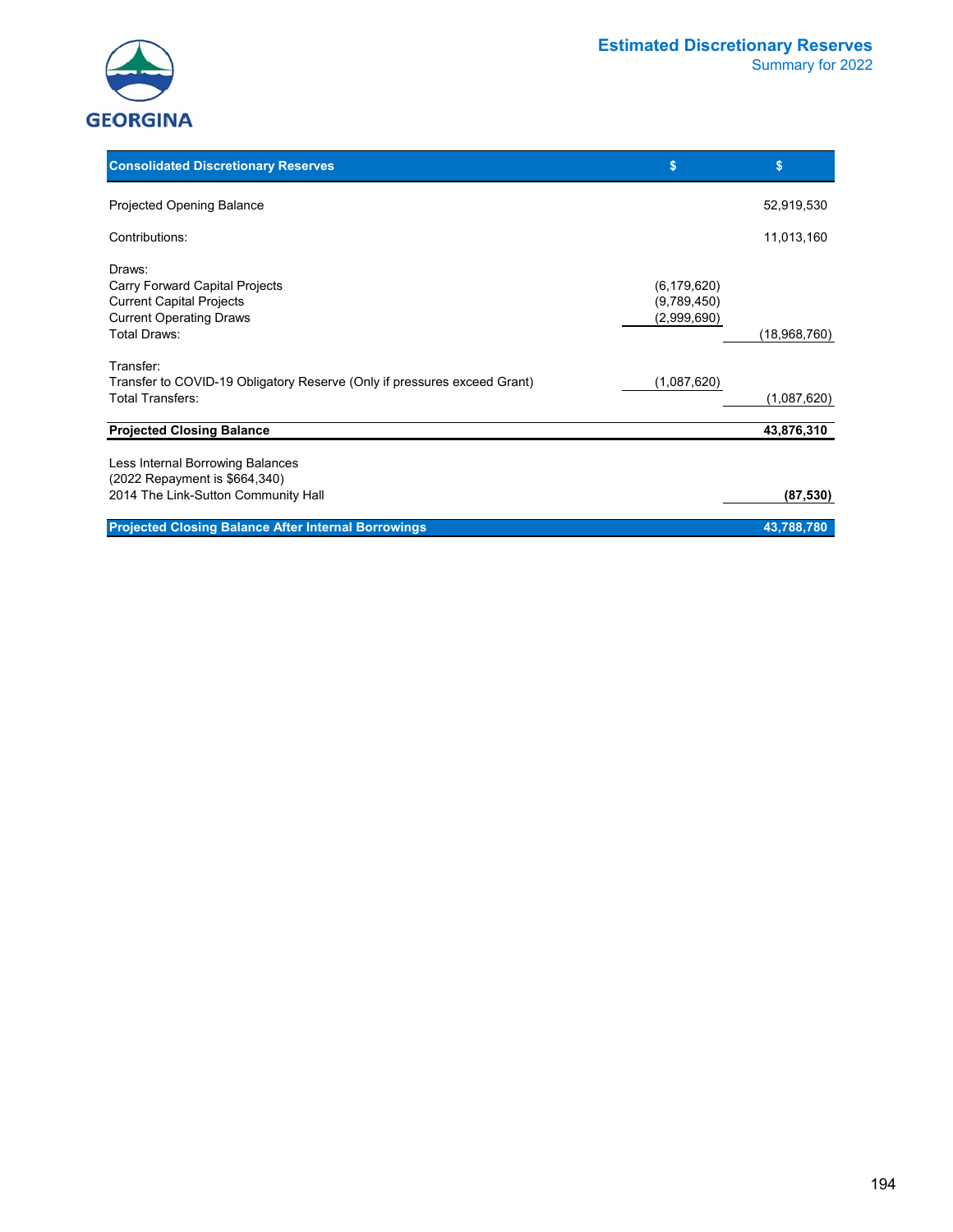



| <b>Consolidated Discretionary Reserves</b>                                                                                    | \$                                          | \$           |
|-------------------------------------------------------------------------------------------------------------------------------|---------------------------------------------|--------------|
| <b>Projected Opening Balance</b>                                                                                              |                                             | 52,919,530   |
| Contributions:                                                                                                                |                                             | 11,013,160   |
| Draws:<br>Carry Forward Capital Projects<br><b>Current Capital Projects</b><br><b>Current Operating Draws</b><br>Total Draws: | (6, 179, 620)<br>(9,789,450)<br>(2,999,690) | (18,968,760) |
| Transfer:<br>Transfer to COVID-19 Obligatory Reserve (Only if pressures exceed Grant)<br>Total Transfers:                     | (1,087,620)                                 | (1,087,620)  |
| <b>Projected Closing Balance</b>                                                                                              |                                             | 43,876,310   |
| Less Internal Borrowing Balances<br>(2022 Repayment is \$664,340)<br>2014 The Link-Sutton Community Hall                      |                                             | (87, 530)    |
| <b>Projected Closing Balance After Internal Borrowings</b>                                                                    |                                             | 43,788,780   |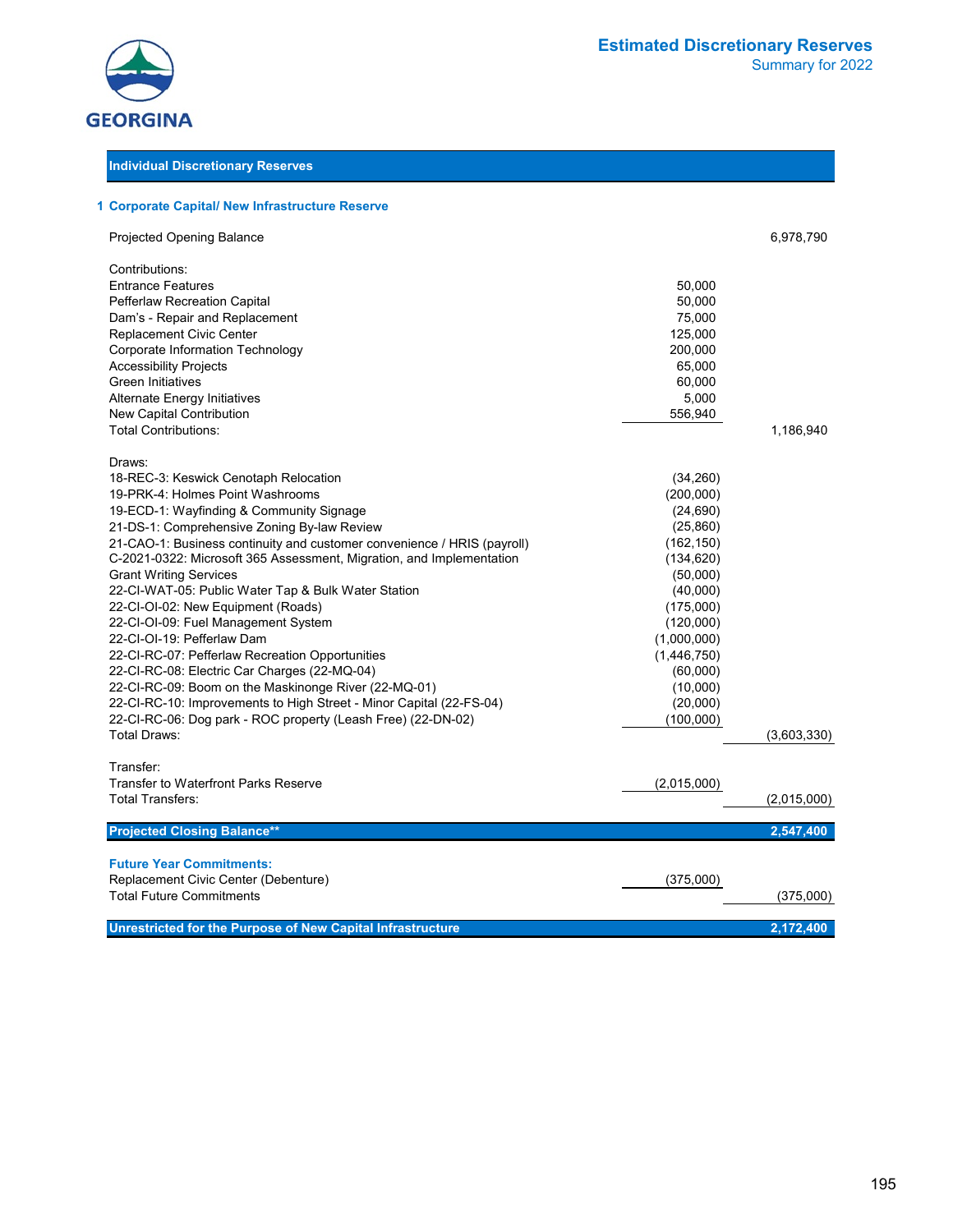

#### **Individual Discretionary Reserves**

#### **1 Corporate Capital/ New Infrastructure Reserve**

| Projected Opening Balance                                               |             | 6,978,790   |
|-------------------------------------------------------------------------|-------------|-------------|
| Contributions:                                                          |             |             |
| <b>Entrance Features</b>                                                | 50,000      |             |
| Pefferlaw Recreation Capital                                            | 50,000      |             |
| Dam's - Repair and Replacement                                          | 75,000      |             |
| Replacement Civic Center                                                | 125,000     |             |
| Corporate Information Technology                                        | 200,000     |             |
| <b>Accessibility Projects</b>                                           | 65,000      |             |
| <b>Green Initiatives</b>                                                | 60,000      |             |
| Alternate Energy Initiatives                                            | 5,000       |             |
| New Capital Contribution                                                | 556,940     |             |
| <b>Total Contributions:</b>                                             |             | 1,186,940   |
| Draws:                                                                  |             |             |
| 18-REC-3: Keswick Cenotaph Relocation                                   | (34,260)    |             |
| 19-PRK-4: Holmes Point Washrooms                                        | (200,000)   |             |
| 19-ECD-1: Wayfinding & Community Signage                                | (24, 690)   |             |
| 21-DS-1: Comprehensive Zoning By-law Review                             | (25, 860)   |             |
| 21-CAO-1: Business continuity and customer convenience / HRIS (payroll) | (162, 150)  |             |
| C-2021-0322: Microsoft 365 Assessment, Migration, and Implementation    | (134, 620)  |             |
| <b>Grant Writing Services</b>                                           | (50,000)    |             |
| 22-CI-WAT-05: Public Water Tap & Bulk Water Station                     | (40,000)    |             |
| 22-CI-OI-02: New Equipment (Roads)                                      | (175,000)   |             |
| 22-CI-OI-09: Fuel Management System                                     | (120,000)   |             |
| 22-CI-OI-19: Pefferlaw Dam                                              | (1,000,000) |             |
| 22-CI-RC-07: Pefferlaw Recreation Opportunities                         | (1,446,750) |             |
| 22-CI-RC-08: Electric Car Charges (22-MQ-04)                            | (60,000)    |             |
| 22-CI-RC-09: Boom on the Maskinonge River (22-MQ-01)                    | (10,000)    |             |
| 22-CI-RC-10: Improvements to High Street - Minor Capital (22-FS-04)     | (20,000)    |             |
| 22-CI-RC-06: Dog park - ROC property (Leash Free) (22-DN-02)            | (100,000)   |             |
| Total Draws:                                                            |             | (3,603,330) |
| Transfer:                                                               |             |             |
| <b>Transfer to Waterfront Parks Reserve</b>                             | (2,015,000) |             |
| <b>Total Transfers:</b>                                                 |             | (2,015,000) |
| <b>Projected Closing Balance**</b>                                      |             | 2,547,400   |
| <b>Future Year Commitments:</b>                                         |             |             |
| Replacement Civic Center (Debenture)                                    | (375,000)   |             |
| <b>Total Future Commitments</b>                                         |             | (375,000)   |
|                                                                         |             |             |
| Unrestricted for the Purpose of New Capital Infrastructure              |             | 2.172.400   |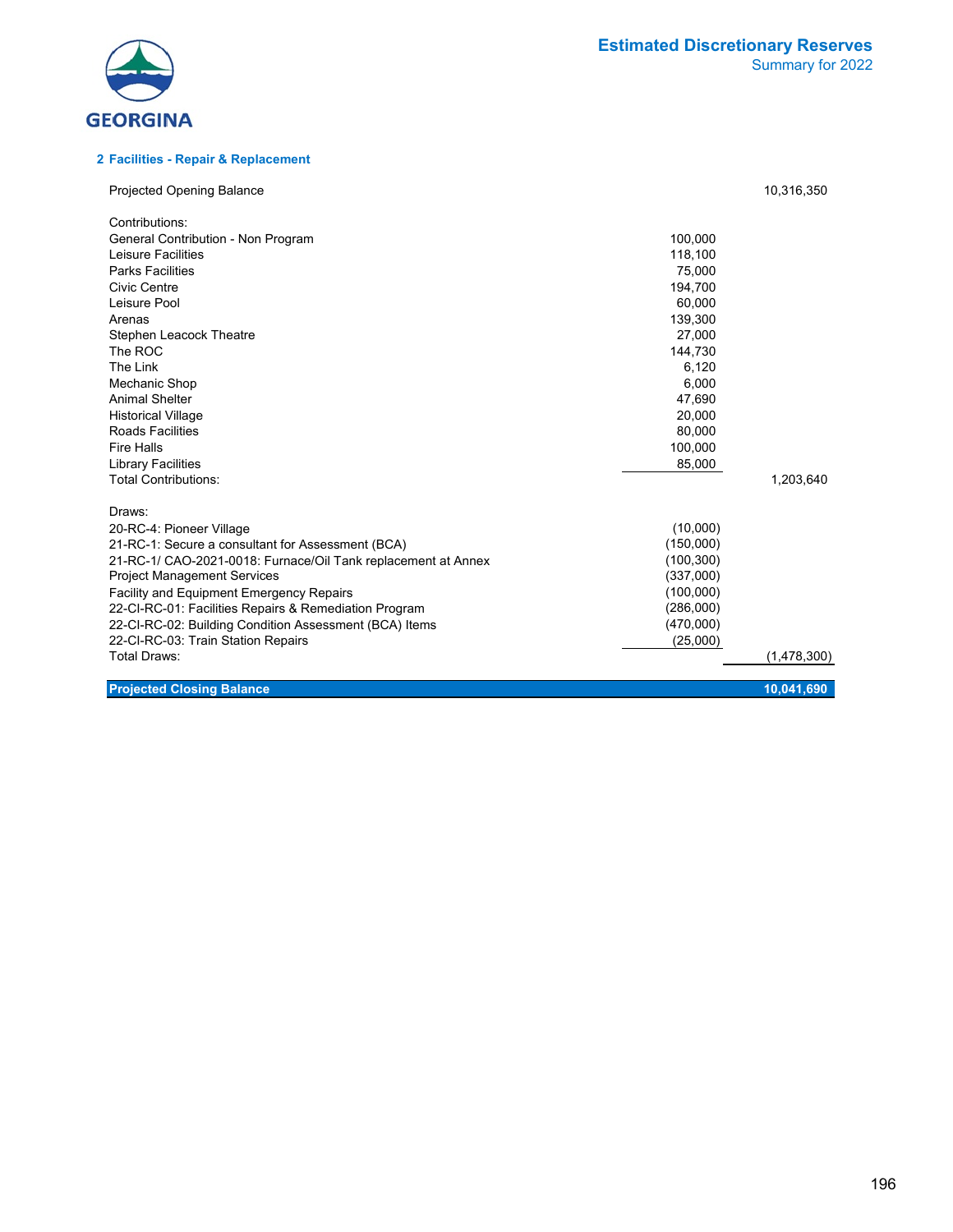

#### **2 Facilities - Repair & Replacement**

| <b>Projected Opening Balance</b>                              |            | 10,316,350  |
|---------------------------------------------------------------|------------|-------------|
| Contributions:                                                |            |             |
| General Contribution - Non Program                            | 100,000    |             |
| Leisure Facilities                                            | 118,100    |             |
| <b>Parks Facilities</b>                                       | 75,000     |             |
| Civic Centre                                                  | 194,700    |             |
| Leisure Pool                                                  | 60,000     |             |
| Arenas                                                        | 139,300    |             |
| <b>Stephen Leacock Theatre</b>                                | 27,000     |             |
| The ROC                                                       | 144,730    |             |
| The Link                                                      | 6,120      |             |
| Mechanic Shop                                                 | 6,000      |             |
| <b>Animal Shelter</b>                                         | 47,690     |             |
| <b>Historical Village</b>                                     | 20,000     |             |
| Roads Facilities                                              | 80,000     |             |
| <b>Fire Halls</b>                                             | 100,000    |             |
| <b>Library Facilities</b>                                     | 85,000     |             |
| <b>Total Contributions:</b>                                   |            | 1,203,640   |
| Draws:                                                        |            |             |
| 20-RC-4: Pioneer Village                                      | (10,000)   |             |
| 21-RC-1: Secure a consultant for Assessment (BCA)             | (150,000)  |             |
| 21-RC-1/ CAO-2021-0018: Furnace/Oil Tank replacement at Annex | (100, 300) |             |
| <b>Project Management Services</b>                            | (337,000)  |             |
| <b>Facility and Equipment Emergency Repairs</b>               | (100,000)  |             |
| 22-CI-RC-01: Facilities Repairs & Remediation Program         | (286,000)  |             |
| 22-CI-RC-02: Building Condition Assessment (BCA) Items        | (470,000)  |             |
| 22-CI-RC-03: Train Station Repairs                            | (25,000)   |             |
| <b>Total Draws:</b>                                           |            | (1,478,300) |
| <b>Projected Closing Balance</b>                              |            | 10,041,690  |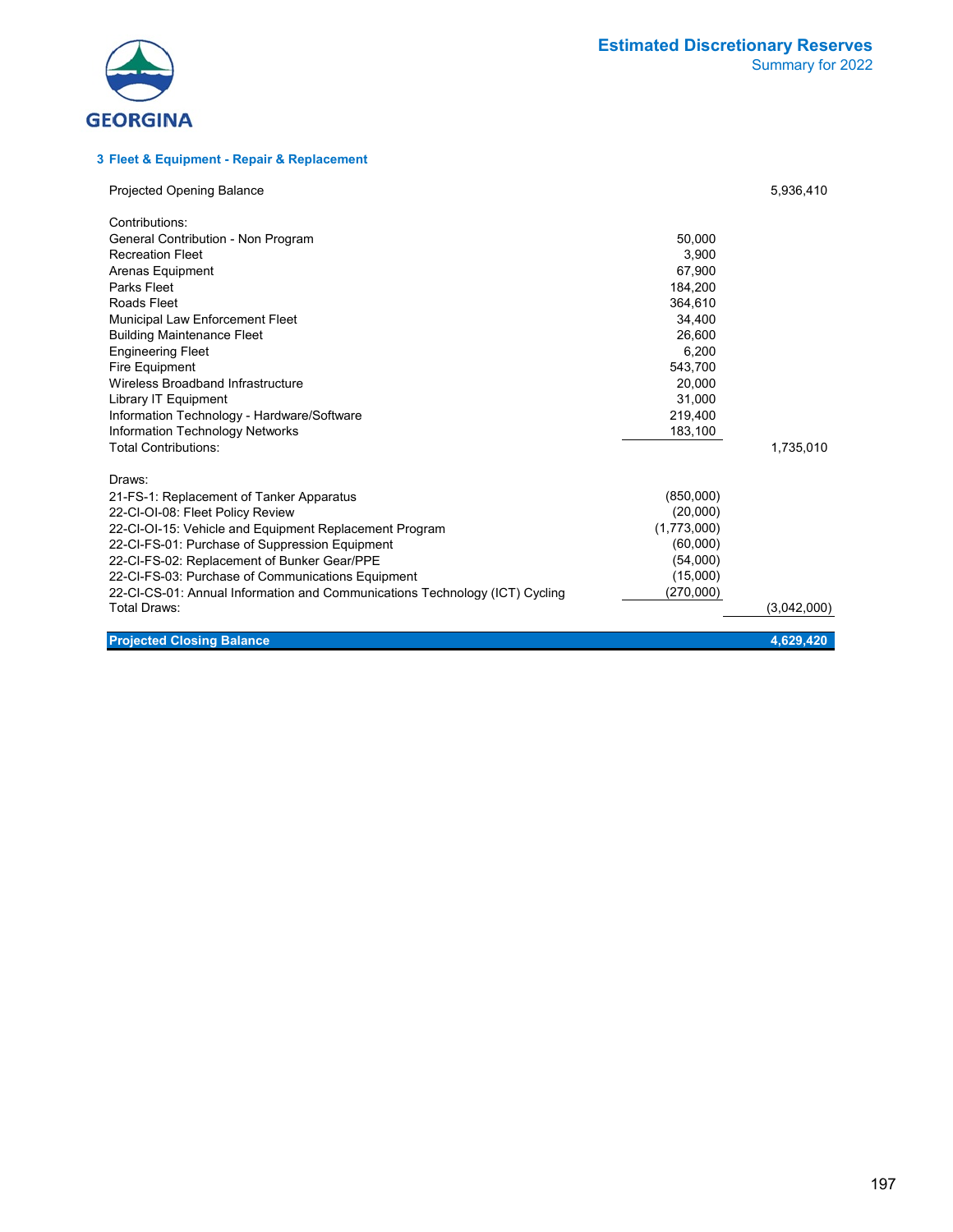



#### **3 Fleet & Equipment - Repair & Replacement**

| <b>Projected Opening Balance</b>                                            |             | 5,936,410   |
|-----------------------------------------------------------------------------|-------------|-------------|
| Contributions:                                                              |             |             |
| General Contribution - Non Program                                          | 50,000      |             |
| <b>Recreation Fleet</b>                                                     | 3.900       |             |
| Arenas Equipment                                                            | 67,900      |             |
| Parks Fleet                                                                 | 184,200     |             |
| Roads Fleet                                                                 | 364,610     |             |
| Municipal Law Enforcement Fleet                                             | 34,400      |             |
| <b>Building Maintenance Fleet</b>                                           | 26,600      |             |
| <b>Engineering Fleet</b>                                                    | 6,200       |             |
| Fire Equipment                                                              | 543,700     |             |
| Wireless Broadband Infrastructure                                           | 20,000      |             |
| Library IT Equipment                                                        | 31,000      |             |
| Information Technology - Hardware/Software                                  | 219,400     |             |
| Information Technology Networks                                             | 183,100     |             |
| <b>Total Contributions:</b>                                                 |             | 1,735,010   |
| Draws:                                                                      |             |             |
| 21-FS-1: Replacement of Tanker Apparatus                                    | (850,000)   |             |
| 22-CI-OI-08: Fleet Policy Review                                            | (20,000)    |             |
| 22-CI-OI-15: Vehicle and Equipment Replacement Program                      | (1,773,000) |             |
| 22-CI-FS-01: Purchase of Suppression Equipment                              | (60,000)    |             |
| 22-CI-FS-02: Replacement of Bunker Gear/PPE                                 | (54,000)    |             |
| 22-CI-FS-03: Purchase of Communications Equipment                           | (15,000)    |             |
| 22-CI-CS-01: Annual Information and Communications Technology (ICT) Cycling | (270,000)   |             |
| Total Draws:                                                                |             | (3,042,000) |
|                                                                             |             |             |
| <b>Projected Closing Balance</b>                                            |             | 4.629.420   |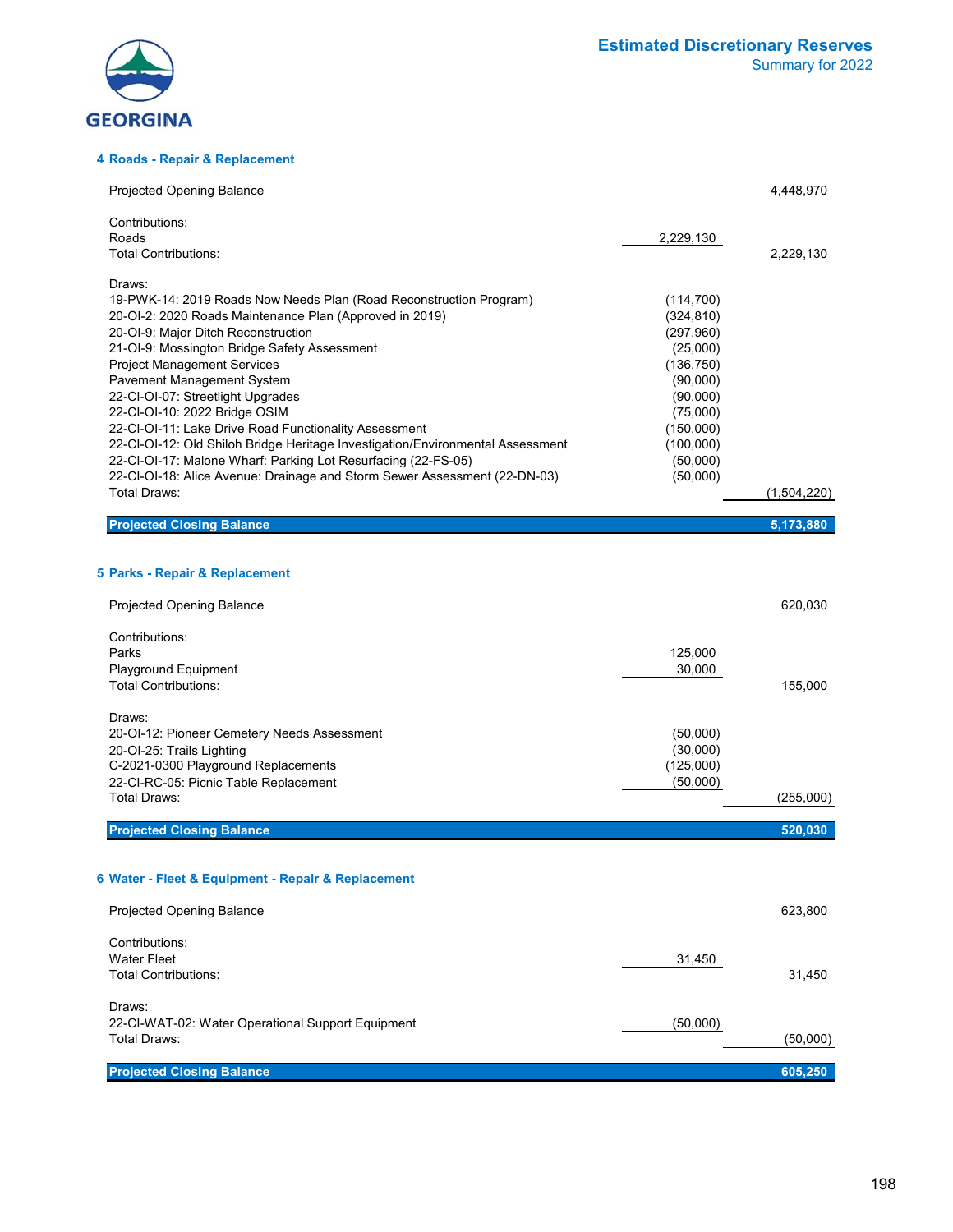

#### **4 Roads - Repair & Replacement**

| Projected Opening Balance                                                                                                                  |                         | 4,448,970   |
|--------------------------------------------------------------------------------------------------------------------------------------------|-------------------------|-------------|
| Contributions:                                                                                                                             |                         |             |
| Roads<br>Total Contributions:                                                                                                              | 2,229,130               | 2,229,130   |
|                                                                                                                                            |                         |             |
| Draws:                                                                                                                                     |                         |             |
| 19-PWK-14: 2019 Roads Now Needs Plan (Road Reconstruction Program)                                                                         | (114, 700)              |             |
| 20-OI-2: 2020 Roads Maintenance Plan (Approved in 2019)<br>20-OI-9: Major Ditch Reconstruction                                             | (324, 810)<br>(297,960) |             |
| 21-OI-9: Mossington Bridge Safety Assessment                                                                                               | (25,000)                |             |
| <b>Project Management Services</b>                                                                                                         | (136, 750)              |             |
| Pavement Management System                                                                                                                 | (90,000)                |             |
| 22-CI-OI-07: Streetlight Upgrades                                                                                                          | (90,000)                |             |
| 22-CI-OI-10: 2022 Bridge OSIM                                                                                                              | (75,000)                |             |
| 22-CI-OI-11: Lake Drive Road Functionality Assessment                                                                                      | (150,000)               |             |
| 22-CI-OI-12: Old Shiloh Bridge Heritage Investigation/Environmental Assessment                                                             | (100,000)               |             |
| 22-CI-OI-17: Malone Wharf: Parking Lot Resurfacing (22-FS-05)<br>22-CI-OI-18: Alice Avenue: Drainage and Storm Sewer Assessment (22-DN-03) | (50,000)<br>(50,000)    |             |
| Total Draws:                                                                                                                               |                         | (1,504,220) |
|                                                                                                                                            |                         |             |
| <b>Projected Closing Balance</b>                                                                                                           |                         | 5,173,880   |
|                                                                                                                                            |                         |             |
| 5 Parks - Repair & Replacement                                                                                                             |                         |             |
| <b>Projected Opening Balance</b>                                                                                                           |                         | 620,030     |
| Contributions:                                                                                                                             |                         |             |
| Parks                                                                                                                                      | 125,000                 |             |
| Playground Equipment                                                                                                                       | 30,000                  |             |
| <b>Total Contributions:</b>                                                                                                                |                         | 155,000     |
| Draws:                                                                                                                                     |                         |             |
| 20-OI-12: Pioneer Cemetery Needs Assessment                                                                                                | (50,000)                |             |
| 20-OI-25: Trails Lighting                                                                                                                  | (30,000)                |             |
| C-2021-0300 Playground Replacements                                                                                                        | (125,000)               |             |
| 22-CI-RC-05: Picnic Table Replacement                                                                                                      | (50,000)                |             |
| Total Draws:                                                                                                                               |                         | (255,000)   |
| <b>Projected Closing Balance</b>                                                                                                           |                         | 520,030     |
|                                                                                                                                            |                         |             |
| 6 Water - Fleet & Equipment - Repair & Replacement                                                                                         |                         |             |
|                                                                                                                                            |                         |             |
| <b>Projected Opening Balance</b>                                                                                                           |                         | 623,800     |
| Contributions:                                                                                                                             |                         |             |
| <b>Water Fleet</b>                                                                                                                         | 31,450                  |             |
| <b>Total Contributions:</b>                                                                                                                |                         | 31,450      |
| Draws:                                                                                                                                     |                         |             |
| 22-CI-WAT-02: Water Operational Support Equipment                                                                                          | (50,000)                |             |
| Total Draws:                                                                                                                               |                         | (50,000)    |
|                                                                                                                                            |                         |             |
| <b>Projected Closing Balance</b>                                                                                                           |                         | 605,250     |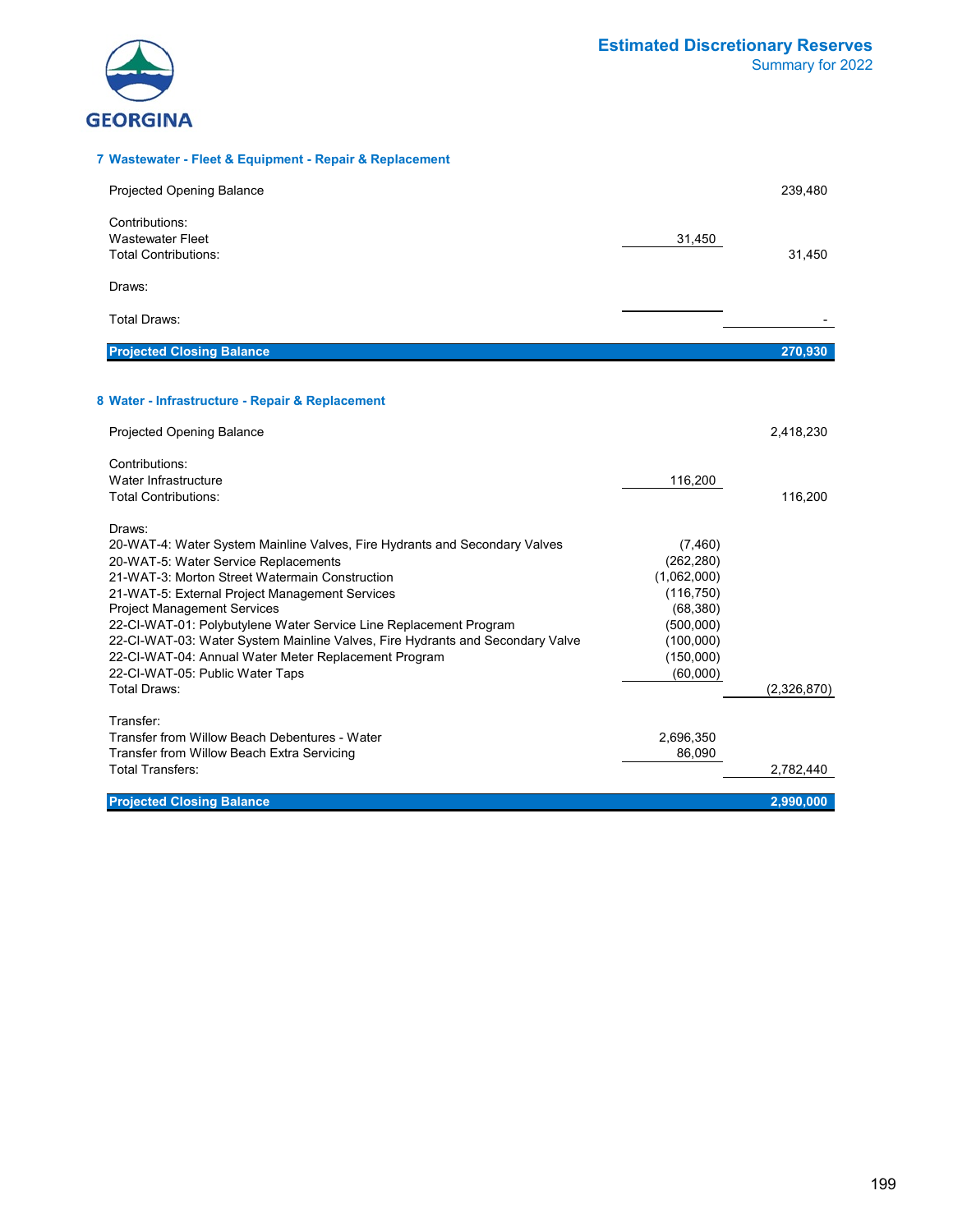

#### **7 Wastewater - Fleet & Equipment - Repair & Replacement**

| <b>Projected Opening Balance</b>                                                                                                                                                                                                                                                                                                                                                                                                                                                                                                               |                                                                                                                    | 239,480     |
|------------------------------------------------------------------------------------------------------------------------------------------------------------------------------------------------------------------------------------------------------------------------------------------------------------------------------------------------------------------------------------------------------------------------------------------------------------------------------------------------------------------------------------------------|--------------------------------------------------------------------------------------------------------------------|-------------|
| Contributions:<br>Wastewater Fleet<br><b>Total Contributions:</b>                                                                                                                                                                                                                                                                                                                                                                                                                                                                              | 31,450                                                                                                             | 31,450      |
| Draws:                                                                                                                                                                                                                                                                                                                                                                                                                                                                                                                                         |                                                                                                                    |             |
| <b>Total Draws:</b>                                                                                                                                                                                                                                                                                                                                                                                                                                                                                                                            |                                                                                                                    |             |
| <b>Projected Closing Balance</b>                                                                                                                                                                                                                                                                                                                                                                                                                                                                                                               |                                                                                                                    | 270,930     |
| 8 Water - Infrastructure - Repair & Replacement                                                                                                                                                                                                                                                                                                                                                                                                                                                                                                |                                                                                                                    |             |
| <b>Projected Opening Balance</b>                                                                                                                                                                                                                                                                                                                                                                                                                                                                                                               |                                                                                                                    | 2,418,230   |
| Contributions:<br>Water Infrastructure<br><b>Total Contributions:</b>                                                                                                                                                                                                                                                                                                                                                                                                                                                                          | 116,200                                                                                                            | 116,200     |
| Draws:<br>20-WAT-4: Water System Mainline Valves, Fire Hydrants and Secondary Valves<br>20-WAT-5: Water Service Replacements<br>21-WAT-3: Morton Street Watermain Construction<br>21-WAT-5: External Project Management Services<br><b>Project Management Services</b><br>22-CI-WAT-01: Polybutylene Water Service Line Replacement Program<br>22-CI-WAT-03: Water System Mainline Valves, Fire Hydrants and Secondary Valve<br>22-CI-WAT-04: Annual Water Meter Replacement Program<br>22-CI-WAT-05: Public Water Taps<br><b>Total Draws:</b> | (7,460)<br>(262, 280)<br>(1,062,000)<br>(116, 750)<br>(68, 380)<br>(500,000)<br>(100,000)<br>(150,000)<br>(60,000) | (2,326,870) |
| Transfer:<br>Transfer from Willow Beach Debentures - Water<br>Transfer from Willow Beach Extra Servicing<br>Total Transfers:                                                                                                                                                                                                                                                                                                                                                                                                                   | 2,696,350<br>86,090                                                                                                | 2,782,440   |
| <b>Projected Closing Balance</b>                                                                                                                                                                                                                                                                                                                                                                                                                                                                                                               |                                                                                                                    | 2,990,000   |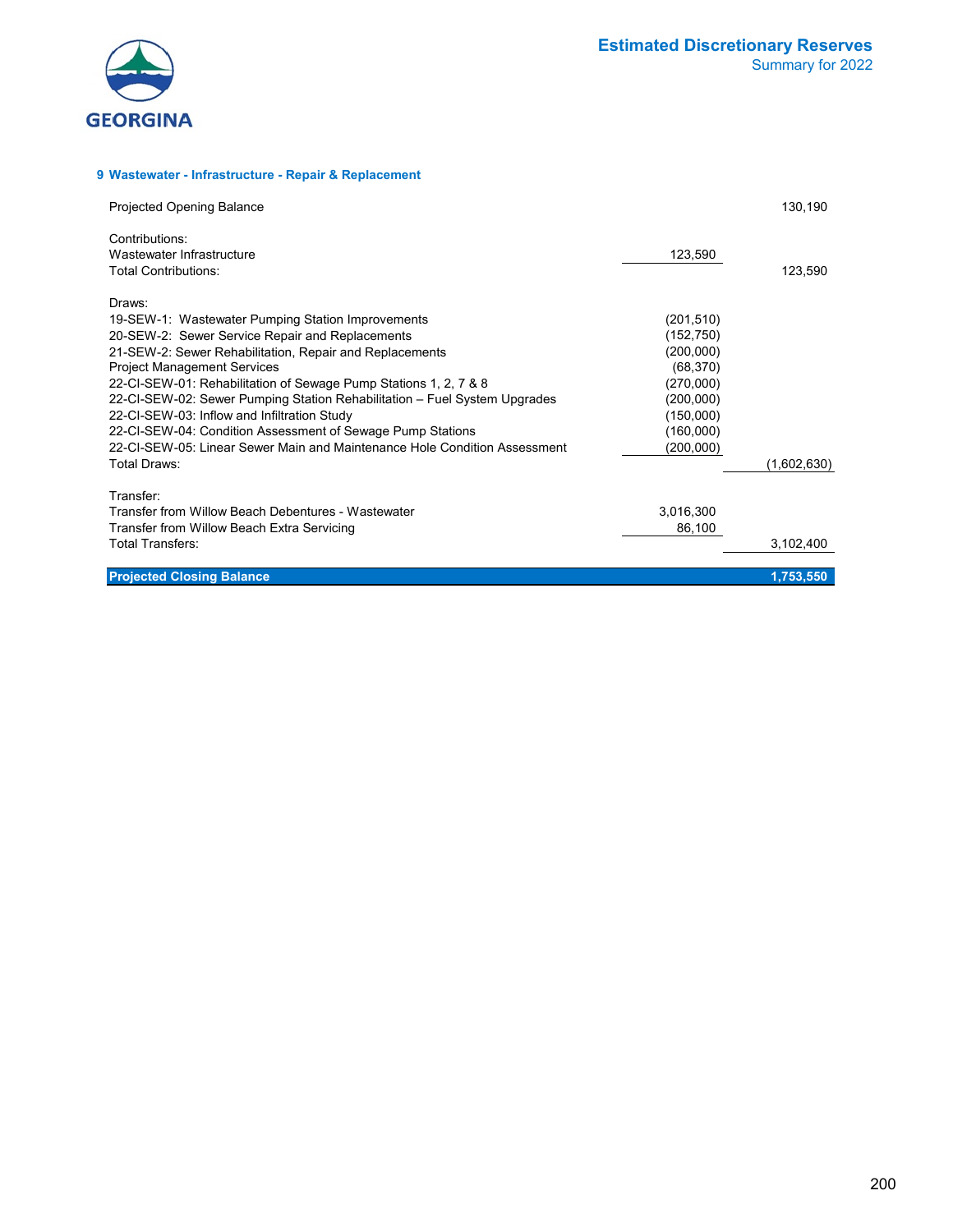

#### **9 Wastewater - Infrastructure - Repair & Replacement**

| <b>Projected Opening Balance</b>                                          |            | 130,190     |
|---------------------------------------------------------------------------|------------|-------------|
| Contributions:                                                            |            |             |
| Wastewater Infrastructure                                                 | 123,590    |             |
| Total Contributions:                                                      |            | 123,590     |
| Draws:                                                                    |            |             |
| 19-SEW-1: Wastewater Pumping Station Improvements                         | (201, 510) |             |
| 20-SEW-2: Sewer Service Repair and Replacements                           | (152, 750) |             |
| 21-SEW-2: Sewer Rehabilitation, Repair and Replacements                   | (200,000)  |             |
| <b>Project Management Services</b>                                        | (68, 370)  |             |
| 22-CI-SEW-01: Rehabilitation of Sewage Pump Stations 1, 2, 7 & 8          | (270,000)  |             |
| 22-CI-SEW-02: Sewer Pumping Station Rehabilitation - Fuel System Upgrades | (200,000)  |             |
| 22-CI-SEW-03: Inflow and Infiltration Study                               | (150,000)  |             |
| 22-CI-SEW-04: Condition Assessment of Sewage Pump Stations                | (160,000)  |             |
| 22-CI-SEW-05: Linear Sewer Main and Maintenance Hole Condition Assessment | (200,000)  |             |
| Total Draws:                                                              |            | (1,602,630) |
| Transfer:                                                                 |            |             |
| Transfer from Willow Beach Debentures - Wastewater                        | 3,016,300  |             |
| Transfer from Willow Beach Extra Servicing                                | 86,100     |             |
| <b>Total Transfers:</b>                                                   |            | 3,102,400   |
| <b>Projected Closing Balance</b>                                          |            | 1,753,550   |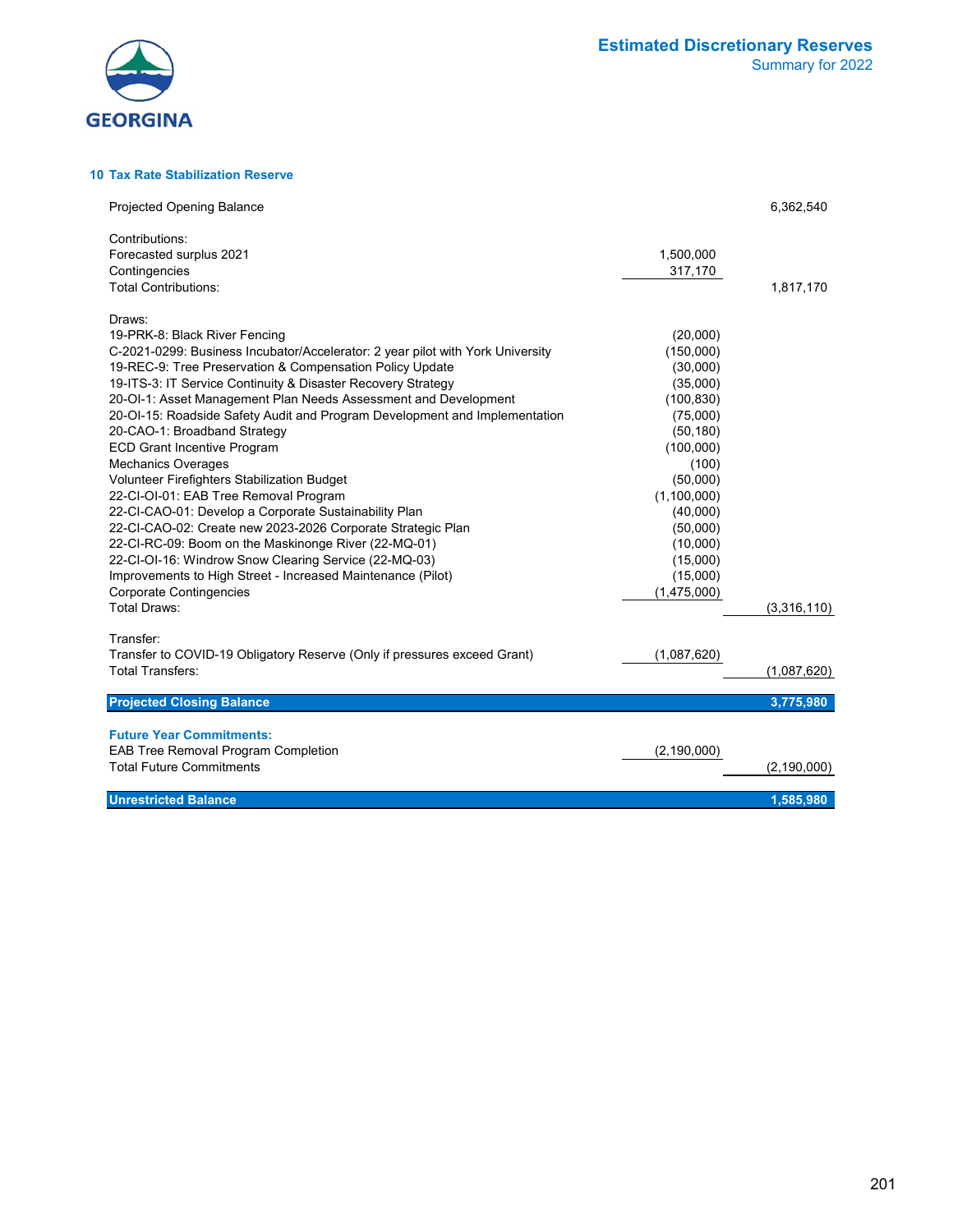

**10 Tax Rate Stabilization Reserve**

| <b>Projected Opening Balance</b>                                                                                                              |                        | 6,362,540     |
|-----------------------------------------------------------------------------------------------------------------------------------------------|------------------------|---------------|
| Contributions:<br>Forecasted surplus 2021<br>Contingencies                                                                                    | 1,500,000<br>317,170   |               |
| <b>Total Contributions:</b>                                                                                                                   |                        | 1,817,170     |
| Draws:<br>19-PRK-8: Black River Fencing                                                                                                       | (20,000)               |               |
| C-2021-0299: Business Incubator/Accelerator: 2 year pilot with York University<br>19-REC-9: Tree Preservation & Compensation Policy Update    | (150,000)<br>(30,000)  |               |
| 19-ITS-3: IT Service Continuity & Disaster Recovery Strategy                                                                                  | (35,000)               |               |
| 20-OI-1: Asset Management Plan Needs Assessment and Development<br>20-OI-15: Roadside Safety Audit and Program Development and Implementation | (100, 830)<br>(75,000) |               |
| 20-CAO-1: Broadband Strategy                                                                                                                  | (50, 180)              |               |
| <b>ECD Grant Incentive Program</b><br><b>Mechanics Overages</b>                                                                               | (100,000)<br>(100)     |               |
| Volunteer Firefighters Stabilization Budget                                                                                                   | (50,000)               |               |
| 22-CI-OI-01: EAB Tree Removal Program                                                                                                         | (1,100,000)            |               |
| 22-CI-CAO-01: Develop a Corporate Sustainability Plan                                                                                         | (40,000)               |               |
| 22-CI-CAO-02: Create new 2023-2026 Corporate Strategic Plan                                                                                   | (50,000)               |               |
| 22-CI-RC-09: Boom on the Maskinonge River (22-MQ-01)                                                                                          | (10,000)               |               |
| 22-CI-OI-16: Windrow Snow Clearing Service (22-MQ-03)<br>Improvements to High Street - Increased Maintenance (Pilot)                          | (15,000)<br>(15,000)   |               |
| <b>Corporate Contingencies</b>                                                                                                                | (1,475,000)            |               |
| <b>Total Draws:</b>                                                                                                                           |                        | (3,316,110)   |
| Transfer:                                                                                                                                     |                        |               |
| Transfer to COVID-19 Obligatory Reserve (Only if pressures exceed Grant)<br><b>Total Transfers:</b>                                           | (1,087,620)            | (1,087,620)   |
|                                                                                                                                               |                        |               |
| <b>Projected Closing Balance</b>                                                                                                              |                        | 3,775,980     |
| <b>Future Year Commitments:</b>                                                                                                               |                        |               |
| EAB Tree Removal Program Completion                                                                                                           | (2, 190, 000)          |               |
| <b>Total Future Commitments</b>                                                                                                               |                        | (2, 190, 000) |
| <b>Unrestricted Balance</b>                                                                                                                   |                        | 1,585,980     |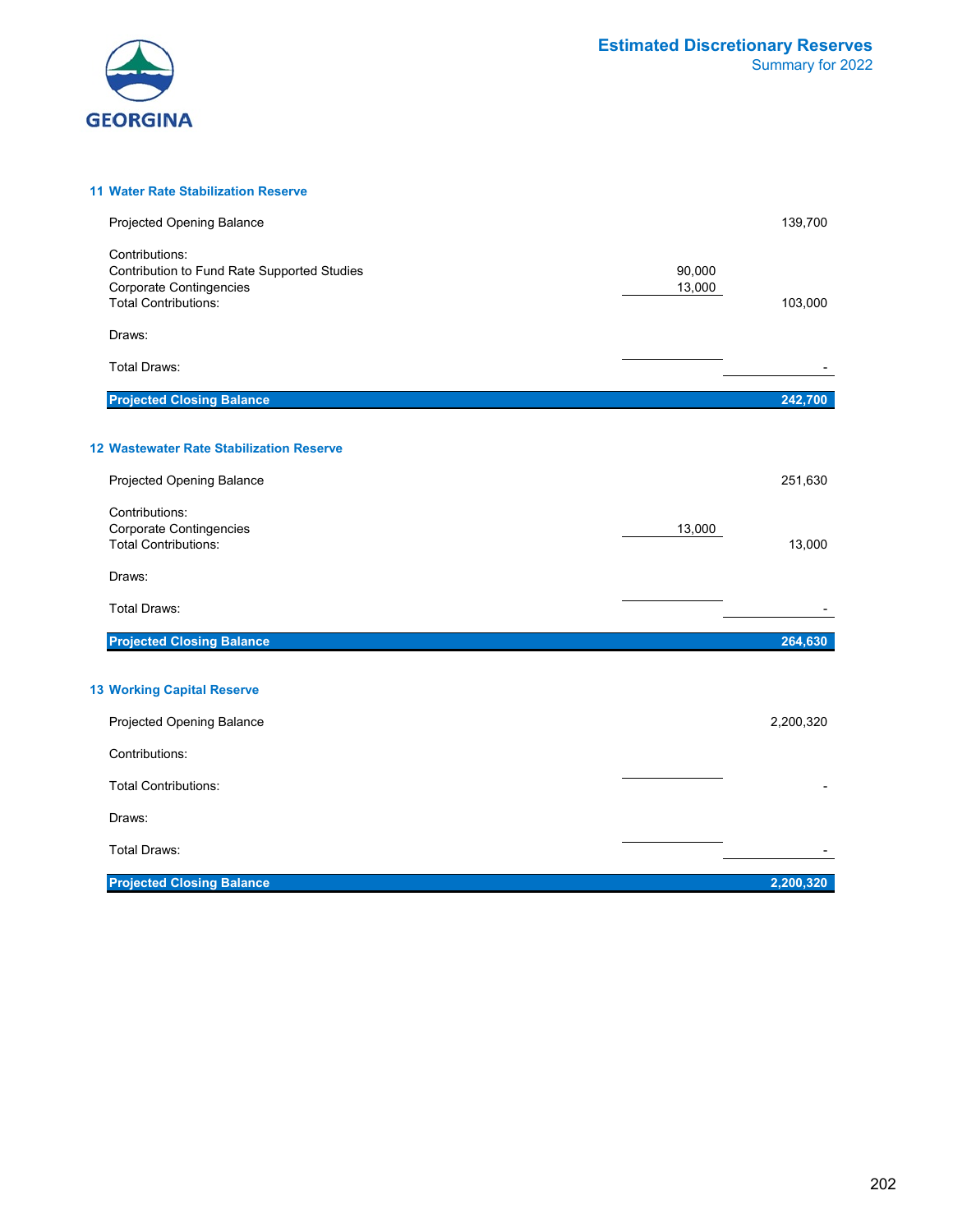

#### **11 Water Rate Stabilization Reserve**

| Projected Opening Balance                                                                                                      |                  | 139,700   |
|--------------------------------------------------------------------------------------------------------------------------------|------------------|-----------|
| Contributions:<br>Contribution to Fund Rate Supported Studies<br><b>Corporate Contingencies</b><br><b>Total Contributions:</b> | 90,000<br>13,000 | 103,000   |
| Draws:                                                                                                                         |                  |           |
| <b>Total Draws:</b>                                                                                                            |                  |           |
| <b>Projected Closing Balance</b>                                                                                               |                  | 242,700   |
| 12 Wastewater Rate Stabilization Reserve                                                                                       |                  |           |
| Projected Opening Balance                                                                                                      |                  | 251,630   |
| Contributions:<br>Corporate Contingencies<br><b>Total Contributions:</b>                                                       | 13,000           | 13,000    |
| Draws:                                                                                                                         |                  |           |
| <b>Total Draws:</b>                                                                                                            |                  |           |
| <b>Projected Closing Balance</b>                                                                                               |                  | 264,630   |
| <b>13 Working Capital Reserve</b>                                                                                              |                  |           |
| Projected Opening Balance                                                                                                      |                  | 2,200,320 |
| Contributions:                                                                                                                 |                  |           |
| <b>Total Contributions:</b>                                                                                                    |                  |           |
| Draws:                                                                                                                         |                  |           |
| <b>Total Draws:</b>                                                                                                            |                  |           |
| <b>Projected Closing Balance</b>                                                                                               |                  | 2,200,320 |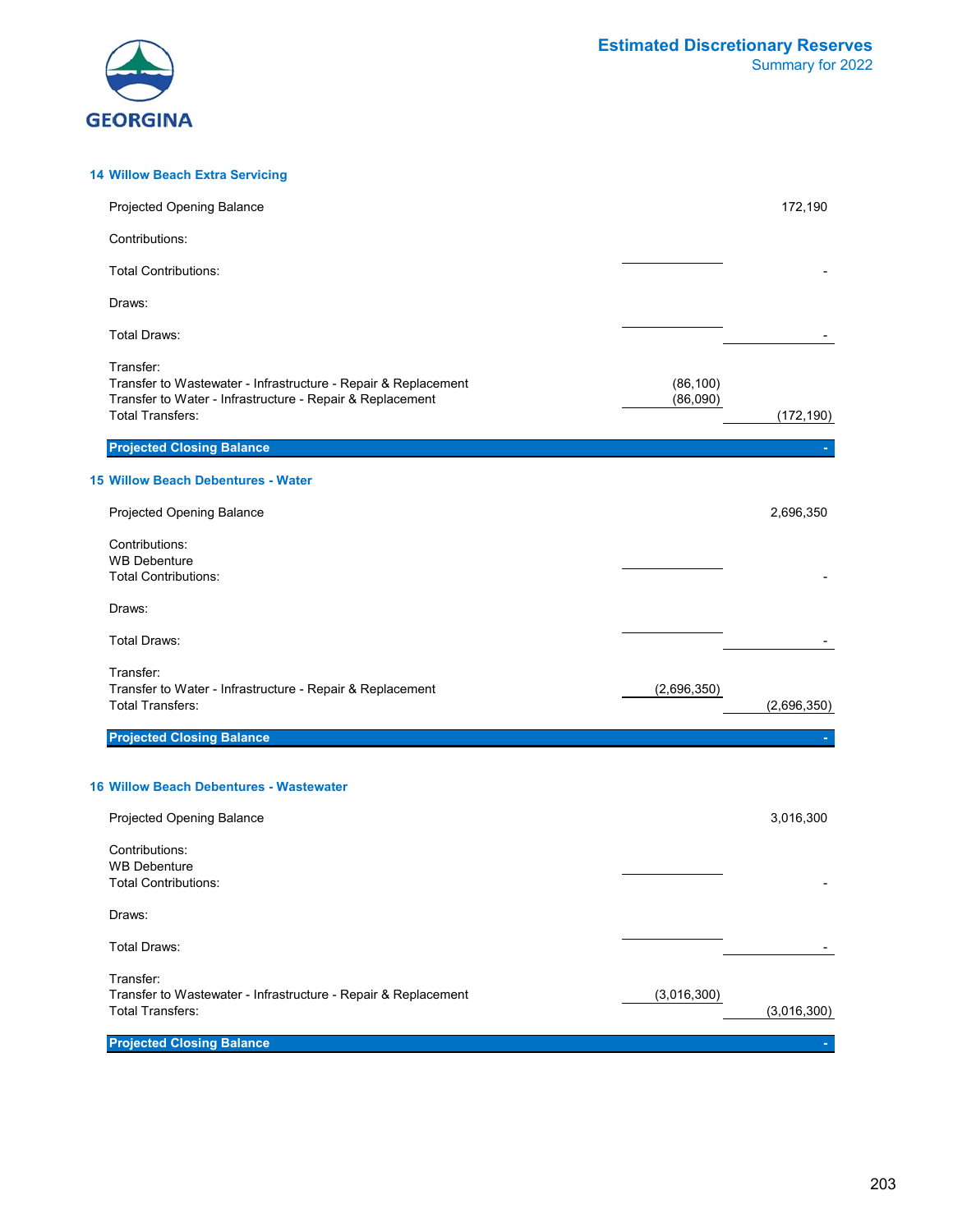

#### **14 Willow Beach Extra Servicing** Projected Opening Balance 172,190 Contributions: Total Contributions: Draws: Total Draws: - Transfer: Transfer to Wastewater - Infrastructure - Repair & Replacement (86,100)<br>Transfer to Water - Infrastructure - Repair & Replacement (86,090) Transfer to Water - Infrastructure - Repair & Replacement<br>Total Transfers: Total Transfers: (172,190) **Projected Closing Balance 15 Willow Beach Debentures - Water** Projected Opening Balance 2,696,350 Contributions: WB Debenture Total Contributions: Draws: Total Draws: - Transfer: Transfer to Water - Infrastructure - Repair & Replacement (2,696,350) Total Transfers: (2,696,350) **Projected Closing Balance 16 Willow Beach Debentures - Wastewater** Projected Opening Balance 3,016,300 Contributions: WB Debenture Total Contributions: Draws: Total Draws: - Transfer: Transfer to Wastewater - Infrastructure - Repair & Replacement (3,016,300)<br>Total Transfers: Total Transfers: (3,016,300) **Projected Closing Balance**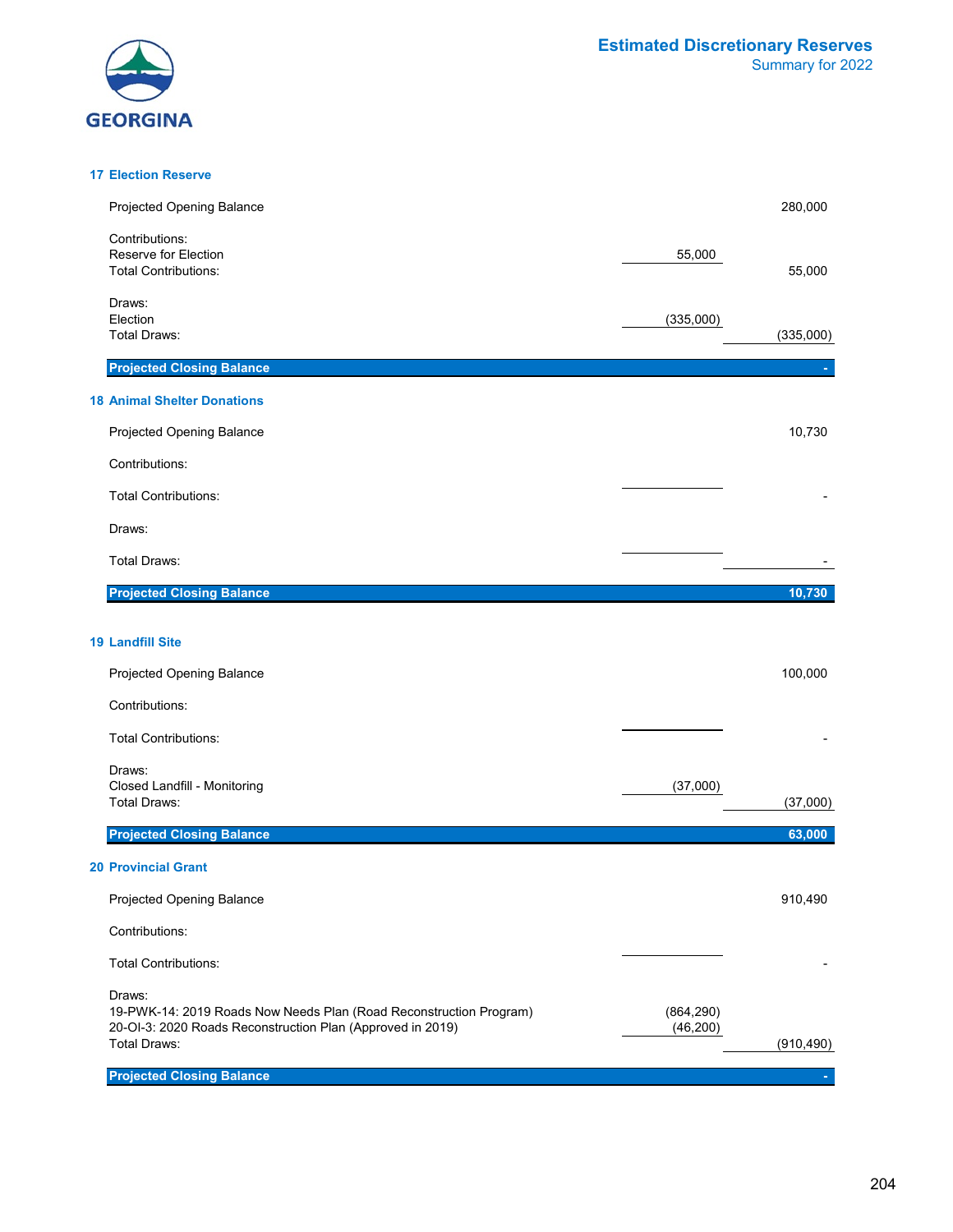



#### **17 Election Reserve**

| Projected Opening Balance                                                                                                                                         |                         | 280,000    |
|-------------------------------------------------------------------------------------------------------------------------------------------------------------------|-------------------------|------------|
| Contributions:<br>Reserve for Election<br><b>Total Contributions:</b>                                                                                             | 55,000                  | 55,000     |
| Draws:<br>Election<br><b>Total Draws:</b>                                                                                                                         | (335,000)               | (335,000)  |
| <b>Projected Closing Balance</b>                                                                                                                                  |                         |            |
| <b>18 Animal Shelter Donations</b>                                                                                                                                |                         |            |
| Projected Opening Balance                                                                                                                                         |                         | 10,730     |
| Contributions:                                                                                                                                                    |                         |            |
| <b>Total Contributions:</b>                                                                                                                                       |                         |            |
| Draws:                                                                                                                                                            |                         |            |
| Total Draws:                                                                                                                                                      |                         |            |
| <b>Projected Closing Balance</b>                                                                                                                                  |                         | 10,730     |
|                                                                                                                                                                   |                         |            |
| <b>19 Landfill Site</b>                                                                                                                                           |                         |            |
| Projected Opening Balance                                                                                                                                         |                         | 100,000    |
| Contributions:                                                                                                                                                    |                         |            |
| <b>Total Contributions:</b>                                                                                                                                       |                         |            |
| Draws:<br>Closed Landfill - Monitoring                                                                                                                            | (37,000)                |            |
| <b>Total Draws:</b>                                                                                                                                               |                         | (37,000)   |
| <b>Projected Closing Balance</b>                                                                                                                                  |                         | 63,000     |
| <b>20 Provincial Grant</b>                                                                                                                                        |                         |            |
| Projected Opening Balance                                                                                                                                         |                         | 910,490    |
| Contributions:                                                                                                                                                    |                         |            |
| <b>Total Contributions:</b>                                                                                                                                       |                         |            |
| Draws:<br>19-PWK-14: 2019 Roads Now Needs Plan (Road Reconstruction Program)<br>20-OI-3: 2020 Roads Reconstruction Plan (Approved in 2019)<br><b>Total Draws:</b> | (864, 290)<br>(46, 200) | (910, 490) |
| <b>Projected Closing Balance</b>                                                                                                                                  |                         |            |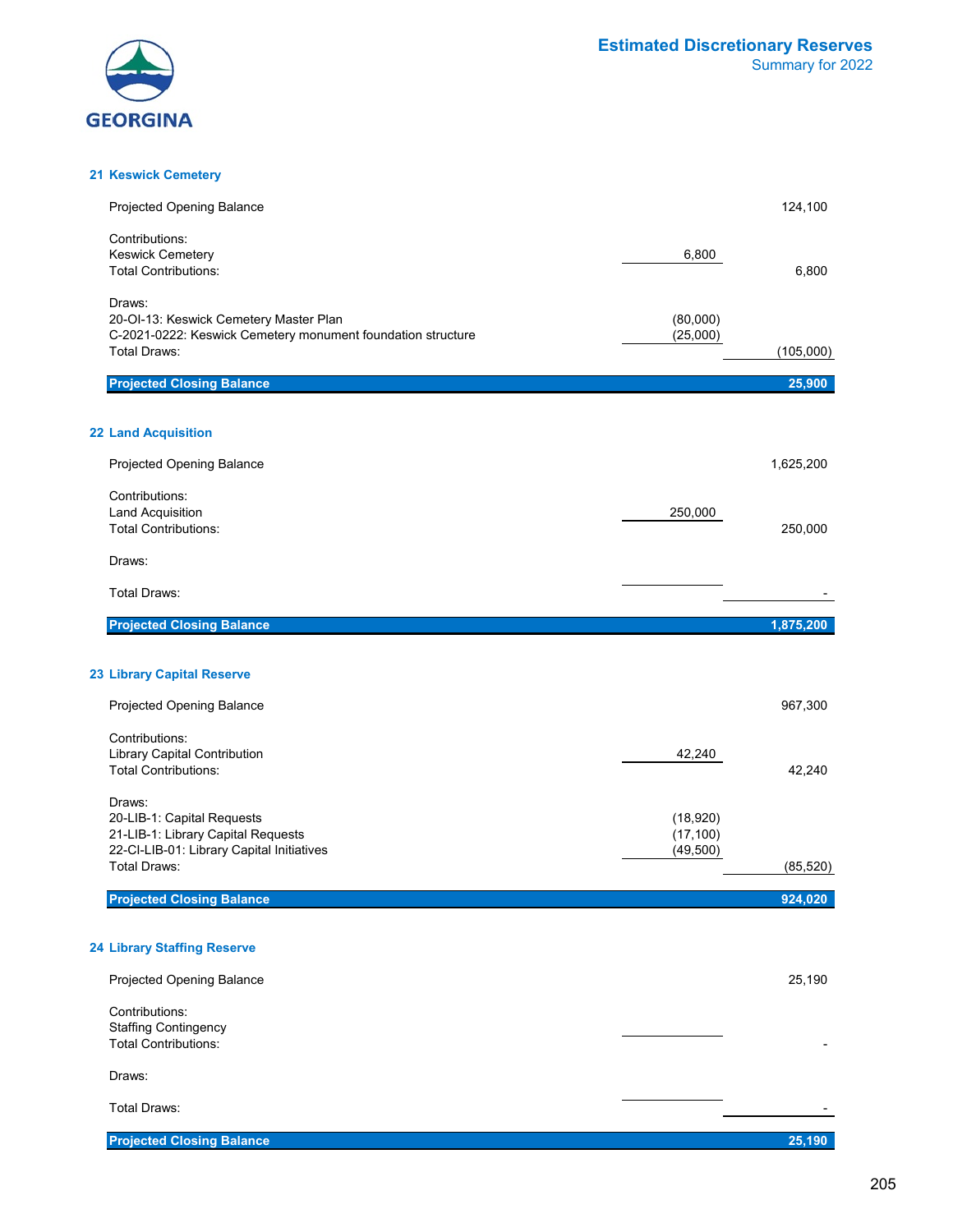

#### **21 Keswick Cemetery**

| <b>Projected Opening Balance</b>                                                                                                       |                                    | 124,100   |
|----------------------------------------------------------------------------------------------------------------------------------------|------------------------------------|-----------|
| Contributions:<br><b>Keswick Cemetery</b><br><b>Total Contributions:</b>                                                               | 6,800                              | 6,800     |
| Draws:<br>20-OI-13: Keswick Cemetery Master Plan<br>C-2021-0222: Keswick Cemetery monument foundation structure<br><b>Total Draws:</b> | (80,000)<br>(25,000)               | (105,000) |
| <b>Projected Closing Balance</b>                                                                                                       |                                    | 25,900    |
| <b>22 Land Acquisition</b>                                                                                                             |                                    |           |
| Projected Opening Balance                                                                                                              |                                    | 1,625,200 |
| Contributions:<br><b>Land Acquisition</b><br><b>Total Contributions:</b>                                                               | 250,000                            | 250,000   |
| Draws:                                                                                                                                 |                                    |           |
| <b>Total Draws:</b>                                                                                                                    |                                    |           |
| <b>Projected Closing Balance</b>                                                                                                       |                                    | 1,875,200 |
|                                                                                                                                        |                                    |           |
| <b>23 Library Capital Reserve</b>                                                                                                      |                                    |           |
| Projected Opening Balance                                                                                                              |                                    | 967,300   |
| Contributions:<br><b>Library Capital Contribution</b><br><b>Total Contributions:</b>                                                   | 42,240                             | 42,240    |
| Draws:<br>20-LIB-1: Capital Requests<br>21-LIB-1: Library Capital Requests<br>22-CI-LIB-01: Library Capital Initiatives                | (18,920)<br>(17, 100)<br>(49, 500) |           |
| <b>Total Draws:</b>                                                                                                                    |                                    | (85, 520) |
| <b>Projected Closing Balance</b>                                                                                                       |                                    | 924,020   |
| <b>24 Library Staffing Reserve</b>                                                                                                     |                                    |           |
| Projected Opening Balance                                                                                                              |                                    | 25,190    |
| Contributions:<br><b>Staffing Contingency</b><br><b>Total Contributions:</b>                                                           |                                    |           |
| Draws:                                                                                                                                 |                                    |           |
| Total Draws:                                                                                                                           |                                    |           |
| <b>Projected Closing Balance</b>                                                                                                       |                                    | 25,190    |

205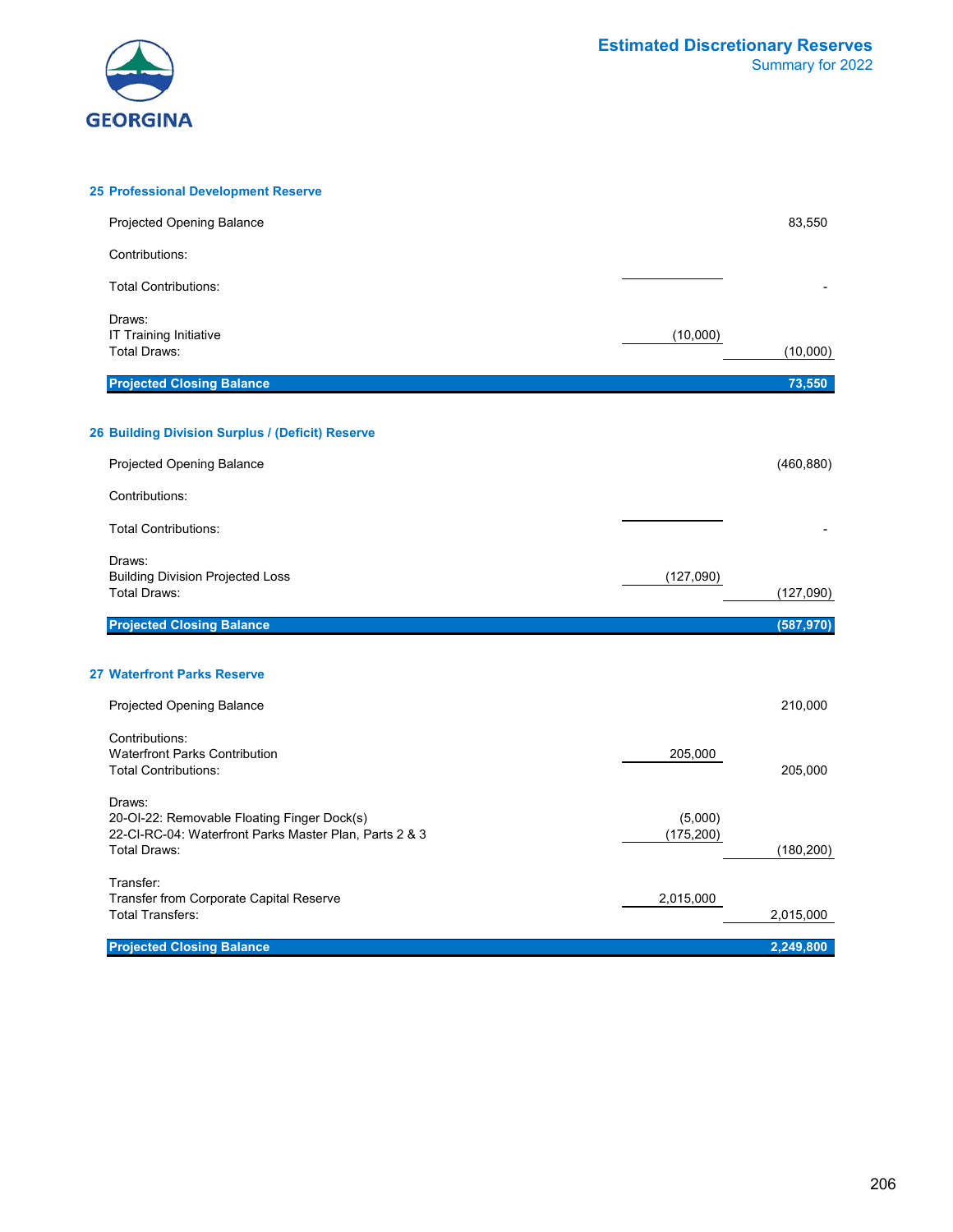

| <b>25 Professional Development Reserve</b>                                                                                             |                       |            |
|----------------------------------------------------------------------------------------------------------------------------------------|-----------------------|------------|
| <b>Projected Opening Balance</b>                                                                                                       |                       | 83,550     |
| Contributions:                                                                                                                         |                       |            |
| <b>Total Contributions:</b>                                                                                                            |                       |            |
| Draws:<br><b>IT Training Initiative</b><br><b>Total Draws:</b>                                                                         | (10,000)              | (10,000)   |
| <b>Projected Closing Balance</b>                                                                                                       |                       | 73,550     |
| 26 Building Division Surplus / (Deficit) Reserve                                                                                       |                       |            |
| Projected Opening Balance                                                                                                              |                       | (460, 880) |
| Contributions:                                                                                                                         |                       |            |
| <b>Total Contributions:</b>                                                                                                            |                       |            |
| Draws:<br><b>Building Division Projected Loss</b><br><b>Total Draws:</b>                                                               | (127,090)             | (127,090)  |
| <b>Projected Closing Balance</b>                                                                                                       |                       | (587, 970) |
| <b>27 Waterfront Parks Reserve</b>                                                                                                     |                       |            |
| <b>Projected Opening Balance</b>                                                                                                       |                       | 210,000    |
| Contributions:<br><b>Waterfront Parks Contribution</b><br><b>Total Contributions:</b>                                                  | 205,000               | 205,000    |
| Draws:<br>20-OI-22: Removable Floating Finger Dock(s)<br>22-CI-RC-04: Waterfront Parks Master Plan, Parts 2 & 3<br><b>Total Draws:</b> | (5,000)<br>(175, 200) | (180, 200) |
| Transfer:<br>Transfer from Corporate Capital Reserve<br><b>Total Transfers:</b>                                                        | 2,015,000             | 2,015,000  |
| <b>Projected Closing Balance</b>                                                                                                       |                       | 2,249,800  |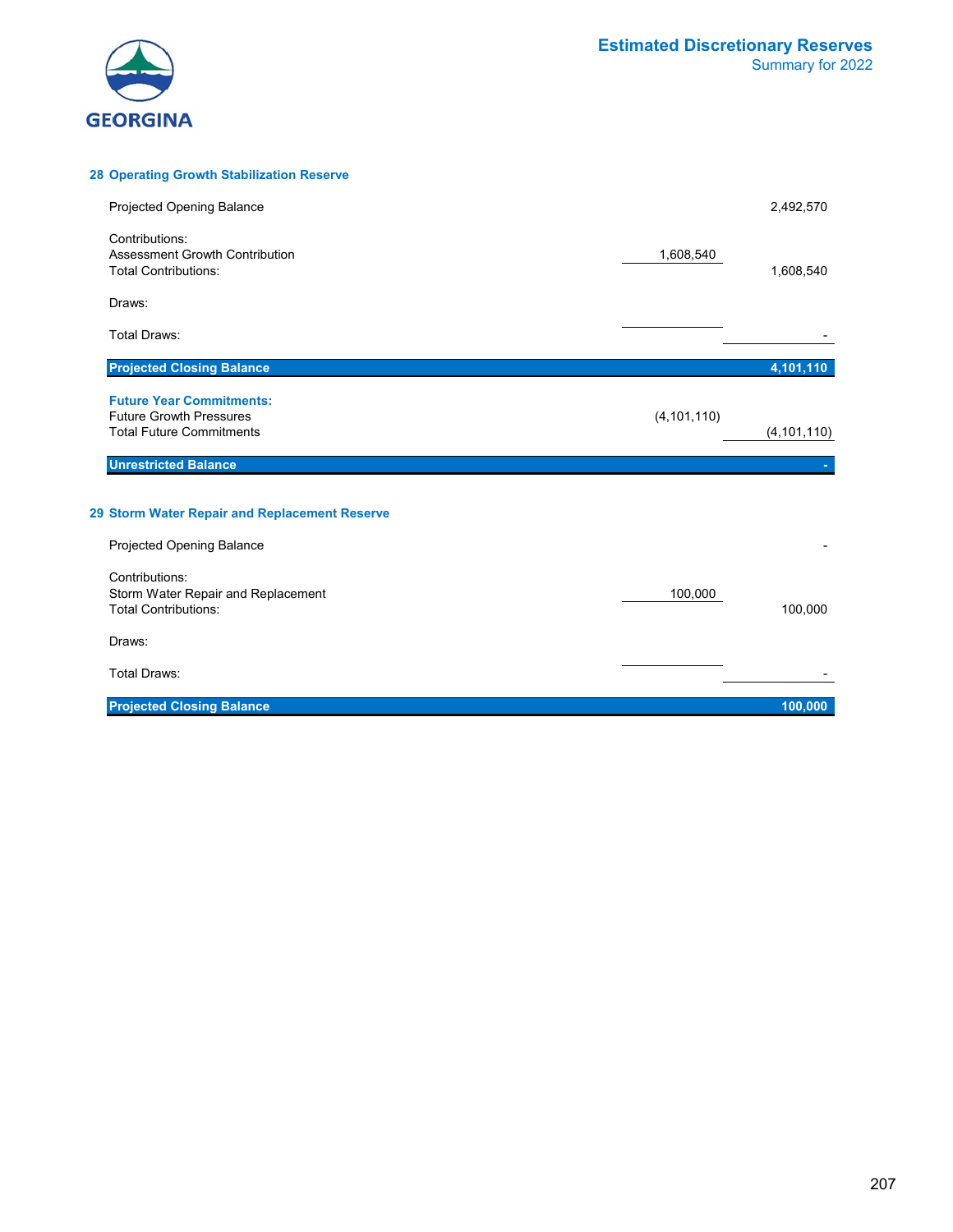

#### **28 Operating Growth Stabilization Reserve**

| Projected Opening Balance                                                  |               | 2,492,570     |
|----------------------------------------------------------------------------|---------------|---------------|
| Contributions:<br>Assessment Growth Contribution                           | 1,608,540     |               |
| <b>Total Contributions:</b><br>Draws:                                      |               | 1,608,540     |
| Total Draws:                                                               |               |               |
| <b>Projected Closing Balance</b>                                           |               | 4,101,110     |
| <b>Future Year Commitments:</b><br><b>Future Growth Pressures</b>          | (4, 101, 110) |               |
| <b>Total Future Commitments</b><br><b>Unrestricted Balance</b>             |               | (4, 101, 110) |
|                                                                            |               |               |
| 29 Storm Water Repair and Replacement Reserve<br>Projected Opening Balance |               |               |
| Contributions:                                                             |               |               |
| Storm Water Repair and Replacement<br><b>Total Contributions:</b>          | 100,000       | 100,000       |
| Draws:                                                                     |               |               |
| <b>Total Draws:</b>                                                        |               |               |
| <b>Projected Closing Balance</b>                                           |               | 100,000       |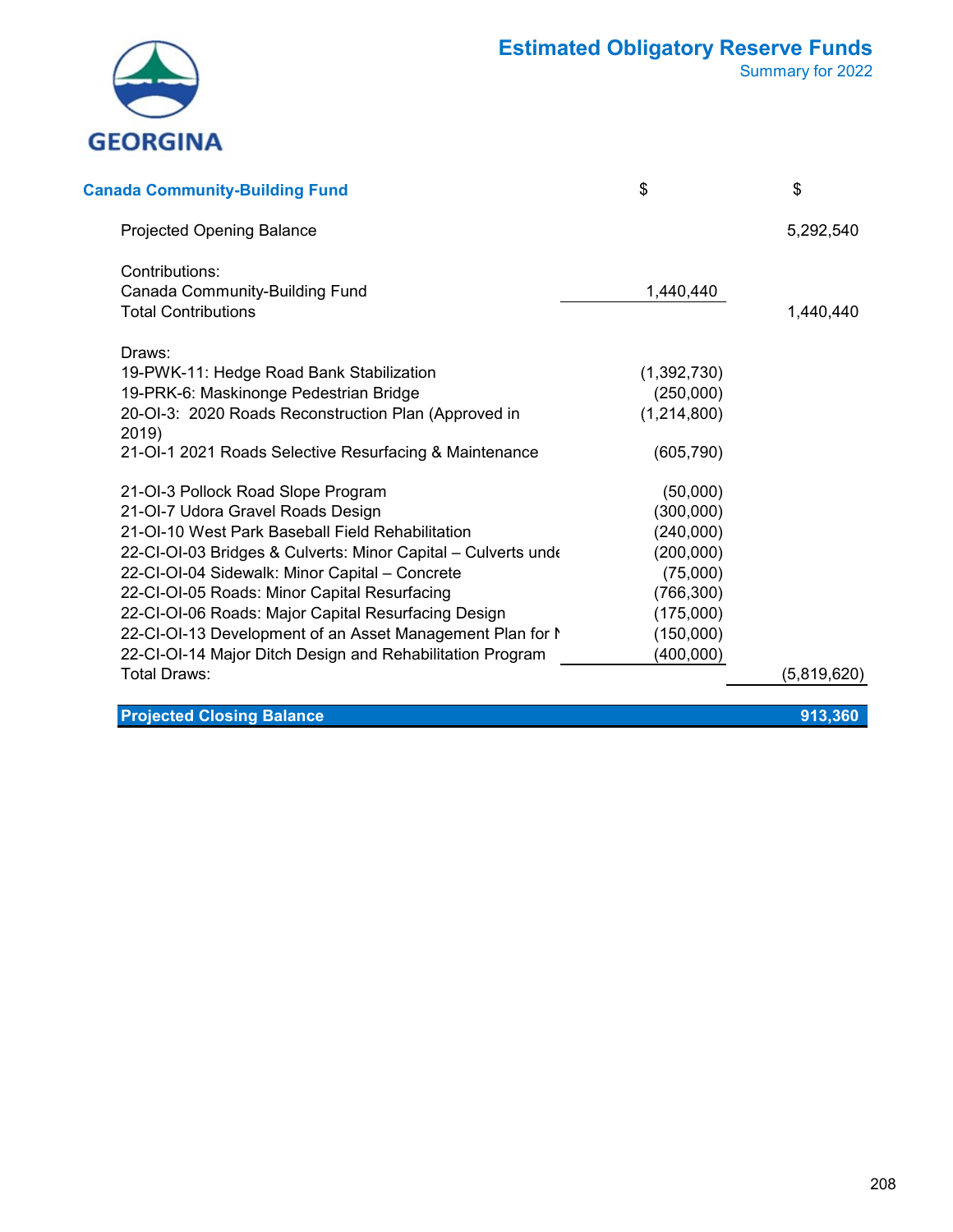

Summary for 2022

| <b>Canada Community-Building Fund</b>                         | \$          | \$          |
|---------------------------------------------------------------|-------------|-------------|
| <b>Projected Opening Balance</b>                              |             | 5,292,540   |
| Contributions:                                                |             |             |
| Canada Community-Building Fund                                | 1,440,440   |             |
| <b>Total Contributions</b>                                    |             | 1,440,440   |
| Draws:                                                        |             |             |
| 19-PWK-11: Hedge Road Bank Stabilization                      | (1,392,730) |             |
| 19-PRK-6: Maskinonge Pedestrian Bridge                        | (250,000)   |             |
| 20-OI-3: 2020 Roads Reconstruction Plan (Approved in<br>2019) | (1,214,800) |             |
| 21-OI-1 2021 Roads Selective Resurfacing & Maintenance        | (605, 790)  |             |
| 21-OI-3 Pollock Road Slope Program                            | (50,000)    |             |
| 21-OI-7 Udora Gravel Roads Design                             | (300,000)   |             |
| 21-OI-10 West Park Baseball Field Rehabilitation              | (240,000)   |             |
| 22-CI-OI-03 Bridges & Culverts: Minor Capital - Culverts unde | (200,000)   |             |
| 22-CI-OI-04 Sidewalk: Minor Capital - Concrete                | (75,000)    |             |
| 22-CI-OI-05 Roads: Minor Capital Resurfacing                  | (766, 300)  |             |
| 22-CI-OI-06 Roads: Major Capital Resurfacing Design           | (175,000)   |             |
| 22-CI-OI-13 Development of an Asset Management Plan for N     | (150,000)   |             |
| 22-CI-OI-14 Major Ditch Design and Rehabilitation Program     | (400,000)   |             |
| Total Draws:                                                  |             | (5,819,620) |
|                                                               |             |             |

**Projected Closing Balance 913,360**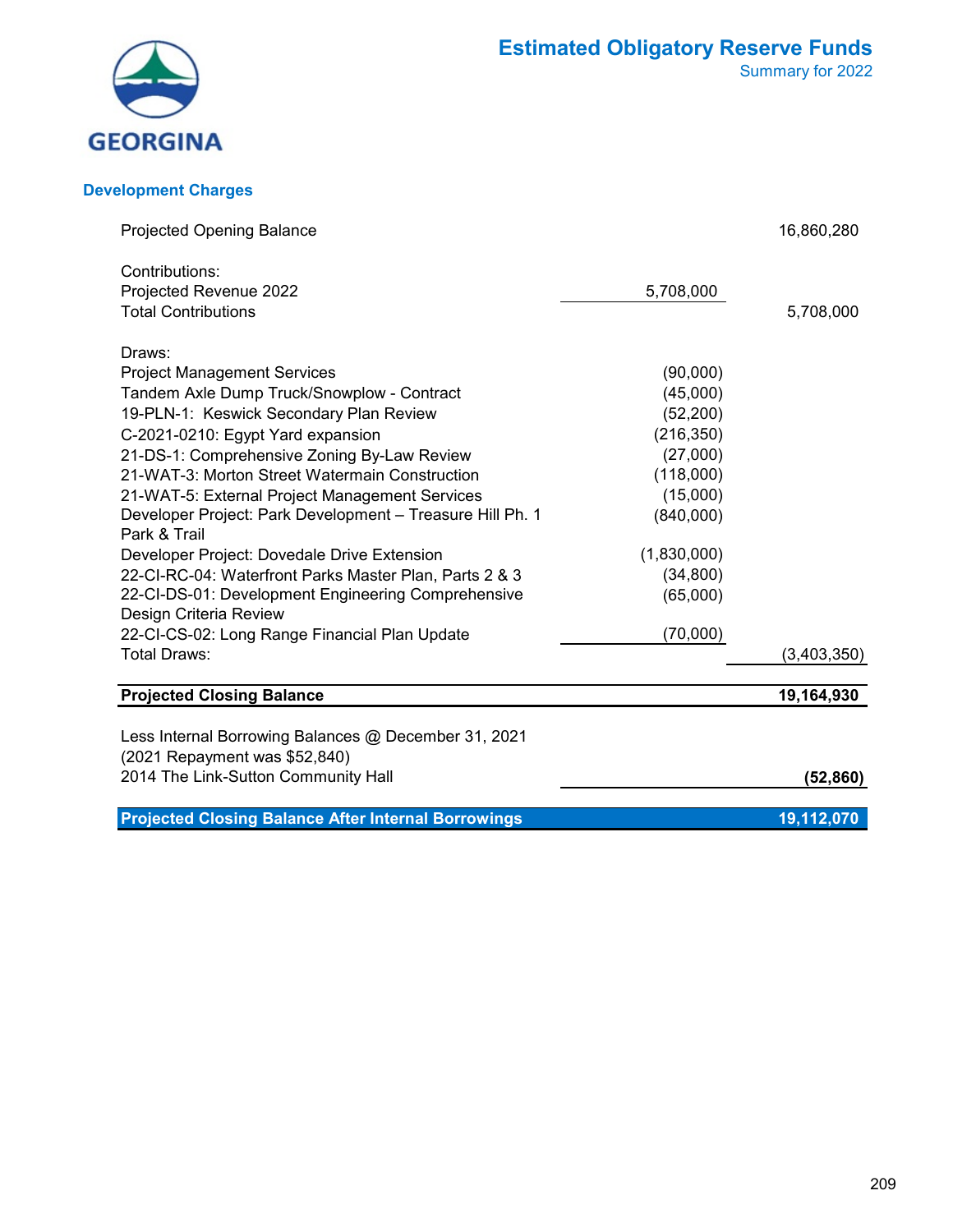

#### **Development Charges**

| <b>Projected Opening Balance</b>                           |             | 16,860,280  |
|------------------------------------------------------------|-------------|-------------|
| Contributions:                                             |             |             |
| Projected Revenue 2022                                     | 5,708,000   |             |
| <b>Total Contributions</b>                                 |             | 5,708,000   |
| Draws:                                                     |             |             |
| <b>Project Management Services</b>                         | (90,000)    |             |
| Tandem Axle Dump Truck/Snowplow - Contract                 | (45,000)    |             |
| 19-PLN-1: Keswick Secondary Plan Review                    | (52, 200)   |             |
| C-2021-0210: Egypt Yard expansion                          | (216, 350)  |             |
| 21-DS-1: Comprehensive Zoning By-Law Review                | (27,000)    |             |
| 21-WAT-3: Morton Street Watermain Construction             | (118,000)   |             |
| 21-WAT-5: External Project Management Services             | (15,000)    |             |
| Developer Project: Park Development - Treasure Hill Ph. 1  | (840,000)   |             |
| Park & Trail                                               |             |             |
| Developer Project: Dovedale Drive Extension                | (1,830,000) |             |
| 22-CI-RC-04: Waterfront Parks Master Plan, Parts 2 & 3     | (34, 800)   |             |
| 22-CI-DS-01: Development Engineering Comprehensive         | (65,000)    |             |
| Design Criteria Review                                     |             |             |
| 22-CI-CS-02: Long Range Financial Plan Update              | (70,000)    |             |
| Total Draws:                                               |             | (3,403,350) |
| <b>Projected Closing Balance</b>                           |             | 19,164,930  |
| Less Internal Borrowing Balances @ December 31, 2021       |             |             |
| (2021 Repayment was \$52,840)                              |             |             |
| 2014 The Link-Sutton Community Hall                        |             | (52, 860)   |
|                                                            |             |             |
| <b>Projected Closing Balance After Internal Borrowings</b> |             | 19,112,070  |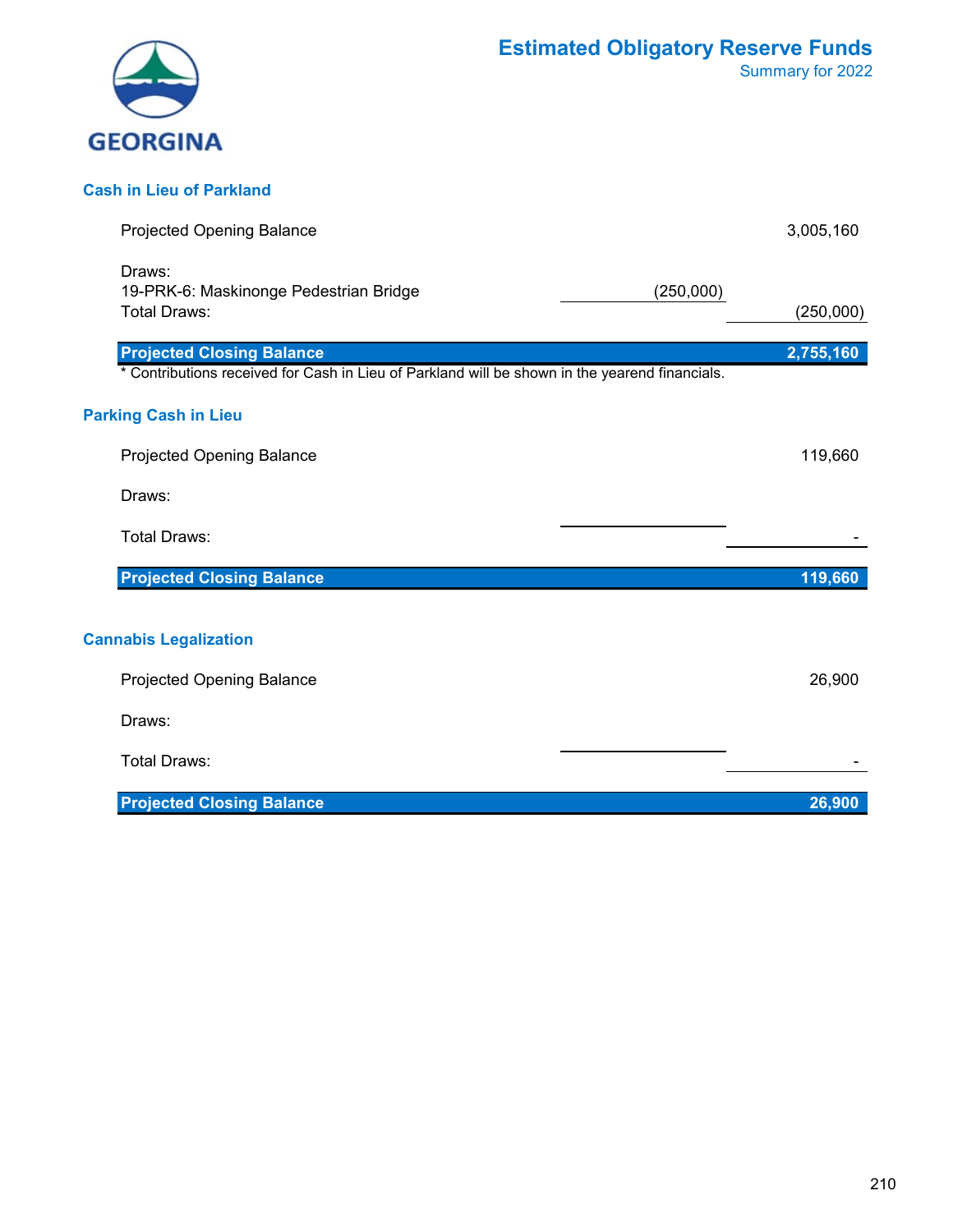

#### **Cash in Lieu of Parkland**

| Projected Opening Balance                                                                                                          | 3,005,160 |
|------------------------------------------------------------------------------------------------------------------------------------|-----------|
| Draws:<br>19-PRK-6: Maskinonge Pedestrian Bridge<br>(250,000)<br>Total Draws:                                                      | (250,000) |
| <b>Projected Closing Balance</b><br>* Contributions received for Cash in Lieu of Parkland will be shown in the yearend financials. | 2,755,160 |
| <b>Parking Cash in Lieu</b><br><b>Projected Opening Balance</b><br>Draws:<br><b>Total Draws:</b>                                   | 119,660   |
| <b>Projected Closing Balance</b>                                                                                                   | 119,660   |
| <b>Cannabis Legalization</b><br><b>Projected Opening Balance</b><br>Draws:<br><b>Total Draws:</b>                                  | 26,900    |
| <b>Projected Closing Balance</b>                                                                                                   | 26,900    |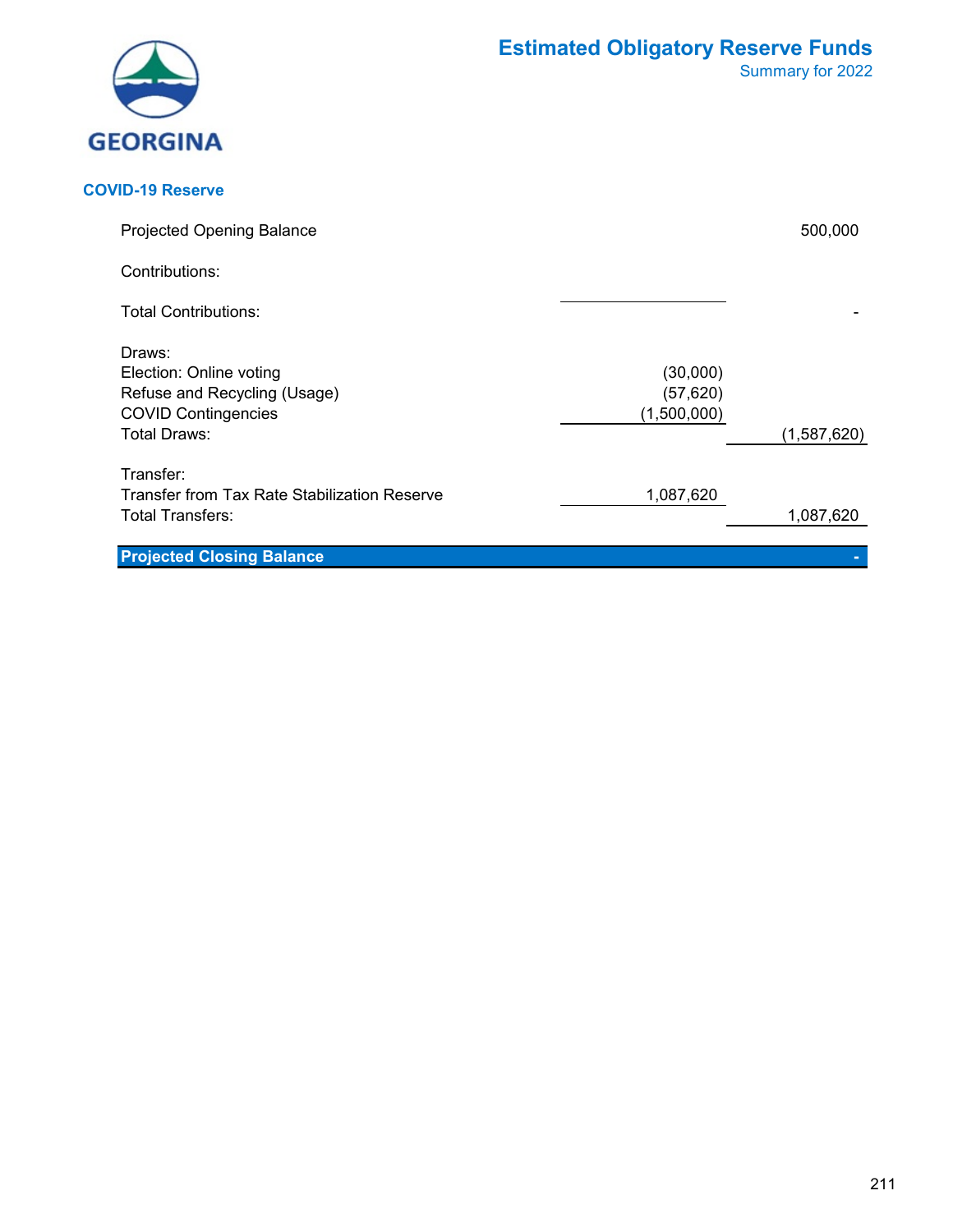| <b>GEORGINA</b> |
|-----------------|

#### **COVID-19 Reserve**

| <b>Projected Opening Balance</b>                                                                                |                                      | 500,000     |
|-----------------------------------------------------------------------------------------------------------------|--------------------------------------|-------------|
| Contributions:                                                                                                  |                                      |             |
| <b>Total Contributions:</b>                                                                                     |                                      |             |
| Draws:<br>Election: Online voting<br>Refuse and Recycling (Usage)<br><b>COVID Contingencies</b><br>Total Draws: | (30,000)<br>(57, 620)<br>(1,500,000) | (1,587,620) |
| Transfer:<br>Transfer from Tax Rate Stabilization Reserve<br>Total Transfers:                                   | 1,087,620                            | 1,087,620   |
| <b>Projected Closing Balance</b>                                                                                |                                      |             |